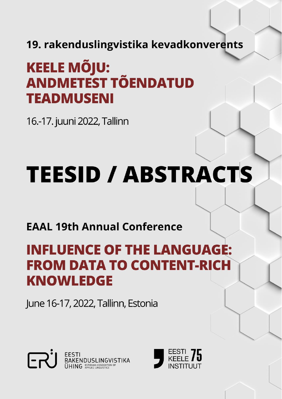19. rakenduslingvistika kevadkonverents

## **KEELE MÕJU: ANDMETEST TÕENDATUD TEADMUSENI**

16.-17. juuni 2022, Tallinn

# **TEESID / ABSTRACTS**

### **EAAL 19th Annual Conference**

## **INFLUENCE OF THE LANGUAGE: FROM DATA TO CONTENT-RICH KNOWLEDGE**

June 16-17, 2022, Tallinn, Estonia



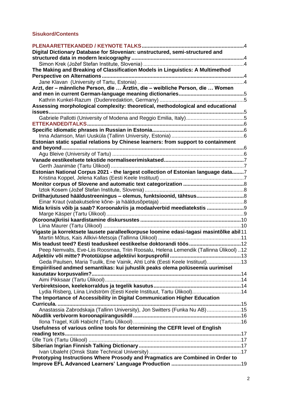#### **Sisukord/Contents**

| 4                                                                                       |  |
|-----------------------------------------------------------------------------------------|--|
| Digital Dictionary Database for Slovenian: unstructured, semi-structured and            |  |
|                                                                                         |  |
|                                                                                         |  |
| The Making and Breaking of Classification Models in Linguistics: A Multimethod          |  |
|                                                                                         |  |
|                                                                                         |  |
| Arzt, der – männliche Person, die  Ärztin, die – weibliche Person, die  Women           |  |
|                                                                                         |  |
|                                                                                         |  |
| Assessing morphological complexity: theoretical, methodological and educational         |  |
| issues                                                                                  |  |
|                                                                                         |  |
|                                                                                         |  |
|                                                                                         |  |
|                                                                                         |  |
| Estonian static spatial relations by Chinese learners: from support to containment      |  |
| and beyond.                                                                             |  |
|                                                                                         |  |
|                                                                                         |  |
|                                                                                         |  |
| Estonian National Corpus 2021 - the largest collection of Estonian language data7       |  |
|                                                                                         |  |
|                                                                                         |  |
|                                                                                         |  |
| Drillharjutused hääldustreeningus - olemus, funktsioonid, tähtsus8                      |  |
|                                                                                         |  |
| Mida kriisis võib ja saab? Koroonakriis ja modaalverbid meediatekstis                   |  |
|                                                                                         |  |
|                                                                                         |  |
|                                                                                         |  |
| Vigaste ja korrektsete lausete paralleelkorpuse loomine edasi-tagasi masintõlke abil 11 |  |
|                                                                                         |  |
|                                                                                         |  |
| Peep Nemvalts, Eve-Liis Roosmaa, Triin Roosalu, Helena Lemendik (Tallinna Ülikool) 12   |  |
|                                                                                         |  |
| Geda Paulsen, Maria Tuulik, Ene Vainik, Ahti Lohk (Eesti Keele Instituut)13             |  |
| Empiirilised andmed semantikas: kui juhuslik peaks olema polüseemia uurimisel           |  |
|                                                                                         |  |
|                                                                                         |  |
|                                                                                         |  |
| Lydia Risberg, Liina Lindström (Eesti Keele Instituut, Tartu Ülikool)14                 |  |
| The Importance of Accessibility in Digital Communication Higher Education               |  |
|                                                                                         |  |
| Anastassia Zabrodskaja (Tallinn University), Jon Switters (Funka Nu AB)15               |  |
|                                                                                         |  |
|                                                                                         |  |
| Usefulness of various online tools for determining the CEFR level of English            |  |
|                                                                                         |  |
|                                                                                         |  |
|                                                                                         |  |
|                                                                                         |  |
| Prototyping Instructions Where Prosody and Pragmatics are Combined in Order to          |  |
|                                                                                         |  |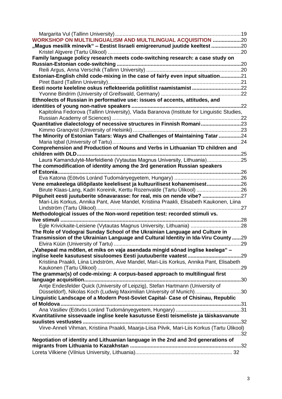<span id="page-2-0"></span>

| <b>WORKSHOP ON MULTILINGUALISM AND MULTILINGUAL ACQUISITION 20</b>                                                                                  |     |
|-----------------------------------------------------------------------------------------------------------------------------------------------------|-----|
| "Magus mesilik minevik" - Eestist lisraeli emigreerunud juutide keeltest 20                                                                         |     |
|                                                                                                                                                     |     |
| Family language policy research meets code-switching research: a case study on                                                                      |     |
|                                                                                                                                                     |     |
|                                                                                                                                                     |     |
| Estonian-English child code-mixing in the case of fairly even input situation21                                                                     |     |
|                                                                                                                                                     |     |
| Eesti noorte keeleline oskus reflekteerida poliitilist raamistamist 22                                                                              |     |
|                                                                                                                                                     |     |
| Ethnolects of Russian in performative use: issues of accents, attitudes, and                                                                        |     |
|                                                                                                                                                     | .22 |
| Kapitolina Fedorova (Tallinn University), Vlada Baranova (Institute for Linguistic Studies,                                                         |     |
|                                                                                                                                                     |     |
| Quantitative dialectology of necessive structures in Finnish Romani23                                                                               |     |
|                                                                                                                                                     |     |
| The Minority of Estonian Tatars: Ways and Challenges of Maintaining Tatar 24                                                                        |     |
|                                                                                                                                                     |     |
| Comprehension and Production of Nouns and Verbs in Lithuanian TD children and                                                                       |     |
| children with DLD                                                                                                                                   | .25 |
| Laura Kamandulytė-Merfeldienė (Vytautas Magnus University, Lithuania)25                                                                             |     |
| The commodification of identity among the 3rd generation Russian speakers                                                                           |     |
| of Estonia                                                                                                                                          |     |
|                                                                                                                                                     |     |
| Vene emakeelega üliõpilaste keelelisest ja kultuurilisest kohanemisest26<br>Birute Klaas-Lang, Kadri Koreinik, Kerttu Rozenvalde (Tartu Ülikool) 26 |     |
| Pilguheit eesti juutuberite sõnavarasse: for real, mis on nende vibe? 27                                                                            |     |
| Mari-Liis Korkus, Annika Pant, Aive Mandel, Kristiina Praakli, Elisabeth Kaukonen, Liina                                                            |     |
|                                                                                                                                                     |     |
| Methodological issues of the Non-word repetition test: recorded stimuli vs.                                                                         |     |
| live stimuli<br>28                                                                                                                                  |     |
| Egle Krivickaite-Leisiene (Vytautas Magnus University, Lithuania) 28                                                                                |     |
| The Role of Vodograi Sunday School of the Ukrainian Language and Culture in                                                                         |     |
| Transmission of the Ukrainian Language and Cultural Identity in Ida-Viru County 29                                                                  |     |
| 29                                                                                                                                                  |     |
| "Vahepeal ma mõtlen, et miks on vaja asendada mingid sõnad inglise keelega" –                                                                       |     |
|                                                                                                                                                     |     |
| Kristiina Praakli, Liina Lindström, Aive Mandel, Mari-Liis Korkus, Annika Pant, Elisabeth                                                           |     |
|                                                                                                                                                     |     |
| The grammar(s) of code-mixing: A corpus-based approach to multilingual first                                                                        |     |
|                                                                                                                                                     |     |
| Antje Endesfelder Quick (University of Leipzig), Stefan Hartmann (University of                                                                     |     |
| Düsseldorf), Nikolas Koch (Ludwig Maximilian University of Munich)30                                                                                |     |
| Linguistic Landscape of a Modern Post-Soviet Capital- Case of Chisinau, Republic                                                                    |     |
| of Moldova                                                                                                                                          |     |
|                                                                                                                                                     |     |
| Kvantitatiivne sissevaade inglise keele kasutusse Eesti teismeliste ja täiskasvanute                                                                |     |
|                                                                                                                                                     | .32 |
| Virve-Anneli Vihman, Kristiina Praakli, Maarja-Liisa Pilvik, Mari-Liis Korkus (Tartu Ülikool)                                                       |     |
|                                                                                                                                                     |     |
| Negotiation of identity and Lithuanian language in the 2nd and 3rd generations of                                                                   |     |
|                                                                                                                                                     |     |
|                                                                                                                                                     |     |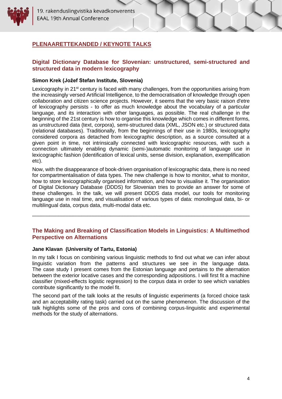19. rakenduslingvistika kevadkonverents **EAAL 19th Annual Conference** 

#### <span id="page-3-0"></span>**PLENAARETTEKANDED / KEYNOTE TALKS**

#### **Digital Dictionary Database for Slovenian: unstructured, semi-structured and structured data in modern lexicography**

#### <span id="page-3-1"></span>**Simon Krek (Jožef Stefan Institute, Slovenia)**

Lexicography in 21<sup>st</sup> century is faced with many challenges, from the opportunities arising from the increasingly versed Artificial Intelligence, to the democratisation of knowledge through open collaboration and citizen science projects. However, it seems that the very basic raison d'etre of lexicography persists - to offer as much knowledge about the vocabulary of a particular language, and its interaction with other languages, as possible. The real challenge in the beginning of the 21st century is how to organise this knowledge which comes in different forms, as unstructured data (text, corpora), semi-structured data (XML, JSON etc.) or structured data (relational databases). Traditionally, from the beginnings of their use in 1980s, lexicography considered corpora as detached from lexicographic description, as a source consulted at a given point in time, not intrinsically connected with lexicographic resources, with such a connection ultimately enabling dynamic (semi-)automatic monitoring of language use in lexicographic fashion (identification of lexical units, sense division, explanation, exemplification etc).

Now, with the disappearance of book-driven organisation of lexicographic data, there is no need for compartmentalisation of data types. The new challenge is how to monitor, what to monitor, how to store lexicographically organised information, and how to visualise it. The organisation of Digital Dictionary Database (DDDS) for Slovenian tries to provide an answer for some of these challenges. In the talk, we will present DDDS data model, our tools for monitoring language use in real time, and visualisation of various types of data: monolingual data, bi- or multilingual data, corpus data, multi-modal data etc.

#### <span id="page-3-2"></span>**The Making and Breaking of Classification Models in Linguistics: A Multimethod Perspective on Alternations**

\_\_\_\_\_\_\_\_\_\_\_\_\_\_\_\_\_\_\_\_\_\_\_\_\_\_\_\_\_\_\_\_\_\_\_\_\_\_\_\_\_\_\_\_\_\_\_\_\_\_\_\_\_\_\_\_\_\_\_\_\_\_\_\_\_\_\_\_\_\_\_\_\_\_\_

#### <span id="page-3-3"></span>**Jane Klavan (University of Tartu, Estonia)**

In my talk I focus on combining various linguistic methods to find out what we can infer about linguistic variation from the patterns and structures we see in the language data. The case study I present comes from the Estonian language and pertains to the alternation between the exterior locative cases and the corresponding adpositions. I will first fit a machine classifier (mixed-effects logistic regression) to the corpus data in order to see which variables contribute significantly to the model fit.

<span id="page-3-4"></span>The second part of the talk looks at the results of linguistic experiments (a forced choice task and an acceptability rating task) carried out on the same phenomenon. The discussion of the talk highlights some of the pros and cons of combining corpus-linguistic and experimental methods for the study of alternations.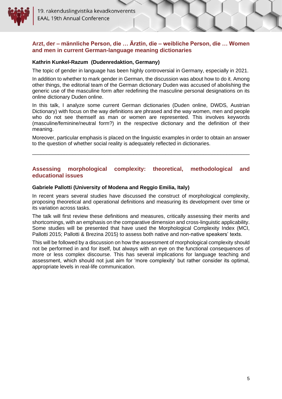

#### <span id="page-4-0"></span>**Arzt, der – männliche Person, die … Ärztin, die – weibliche Person, die … Women and men in current German-language meaning dictionaries**

#### **Kathrin Kunkel-Razum (Dudenredaktion, Germany)**

The topic of gender in language has been highly controversial in Germany, especially in 2021.

In addition to whether to mark gender in German, the discussion was about how to do it. Among other things, the editorial team of the German dictionary Duden was accused of abolishing the generic use of the masculine form after redefining the masculine personal designations on its online dictionary Duden online.

In this talk, I analyze some current German dictionaries (Duden online, DWDS, Austrian Dictionary) with focus on the way definitions are phrased and the way women, men and people who do not see themself as man or women are represented. This involves keywords (masculine/feminine/neutral form?) in the respective dictionary and the definition of their meaning.

Moreover, particular emphasis is placed on the linguistic examples in order to obtain an answer to the question of whether social reality is adequately reflected in dictionaries.

\_\_\_\_\_\_\_\_\_\_\_\_\_\_\_\_\_\_\_\_\_\_\_\_\_\_\_\_\_\_\_\_\_\_\_\_\_\_\_\_\_\_\_\_\_\_\_\_\_\_\_\_\_\_\_\_\_\_\_\_\_\_\_\_\_\_\_\_\_\_\_\_\_\_\_

#### <span id="page-4-1"></span>**Assessing morphological complexity: theoretical, methodological and educational issues**

#### <span id="page-4-2"></span>**Gabriele Pallotti (University of Modena and Reggio Emilia, Italy)**

In recent years several studies have discussed the construct of morphological complexity, proposing theoretical and operational definitions and measuring its development over time or its variation across tasks.

The talk will first review these definitions and measures, critically assessing their merits and shortcomings, with an emphasis on the comparative dimension and cross-linguistic applicability. Some studies will be presented that have used the Morphological Complexity Index (MCI, Pallotti 2015; Pallotti & Brezina 2015) to assess both native and non-native speakers' texts.

<span id="page-4-3"></span>This will be followed by a discussion on how the assessment of morphological complexity should not be performed in and for itself, but always with an eye on the functional consequences of more or less complex discourse. This has several implications for language teaching and assessment, which should not just aim for 'more complexity' but rather consider its optimal, appropriate levels in real-life communication.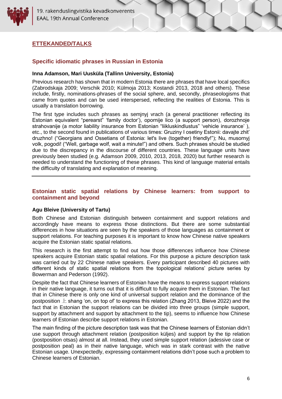19. rakenduslingvistika kevadkonverents **EAAL 19th Annual Conference** 

#### <span id="page-5-0"></span>**ETTEKANDED/TALKS**

#### **Specific idiomatic phrases in Russian in Estonia**

#### <span id="page-5-1"></span>**Inna Adamson, Mari Uusküla (Tallinn University, Estonia)**

Previous research has shown that in modern Estonia there are phrases that have local specifics (Zabrodskaja 2009; Verschik 2010; Külmoja 2013; Kostandi 2013, 2018 and others). These include, firstly, nominations-phrases of the social sphere, and, secondly, phraseologisms that came from quotes and can be used interspersed, reflecting the realities of Estonia. This is usually a translation borrowing.

The first type includes such phrases as semjnyj vrach (a general practitioner reflecting its Estonian equivalent "perearst" 'family doctor'), opornije lico (a support person), dorozhnoje strahovanije (a motor liability insurance from Estonian "liikluskindlustus" 'vehicle insurance' ), etc., to the second found in publications of various times: Gruziny I osetiny Estonii: davajte zhit' druzhno! ("Georgians and Ossetians of Estonia: let's live (together) friendly!"); Nu, musornyj volk, pogodi! ("Well, garbage wolf, wait a minute!") and others. Such phrases should be studied due to the discrepancy in the discourse of different countries. These language units have previously been studied (e.g. Adamson 2009, 2010, 2013, 2018, 2020) but further research is needed to understand the functioning of these phrases. This kind of language material entails the difficulty of translating and explanation of meaning.

#### <span id="page-5-2"></span>**Estonian static spatial relations by Chinese learners: from support to containment and beyond**

#### <span id="page-5-3"></span>**Agu Bleive (University of Tartu)**

Both Chinese and Estonian distinguish between containment and support relations and accordingly have means to express those distinctions. But there are some substantial differences in how situations are seen by the speakers of those languages as containment or support relations. For teaching purposes it is important to know how Chinese native speakers acquire the Estonian static spatial relations.

This research is the first attempt to find out how those differences influence how Chinese speakers acquire Estonian static spatial relations. For this purpose a picture description task was carried out by 22 Chinese native speakers. Every participant described 40 pictures with different kinds of static spatial relations from the topological relations' picture series by Bowerman and Pederson (1992).

Despite the fact that Chinese learners of Estonian have the means to express support relations in their native language, it turns out that it is difficult to fully acquire them in Estonian. The fact that in Chinese there is only one kind of universal support relation and the dominance of the postposition  $\pm$  shang 'on, on top of' to express this relation (Zhang 2013, Bleive 2022) and the fact that in Estonian the support relations can be divided into three groups (simple support, support by attachment and support by attachment to the tip), seems to influence how Chinese learners of Estonian describe support relations in Estonian.

The main finding of the picture description task was that the Chinese learners of Estonian didn't use support through attachment relation (postposition küljes) and support by the tip relation (postposition otsas) almost at all. Instead, they used simple support relation (adessive case or postposition peal) as in their native language, which was in stark contrast with the native Estonian usage. Unexpectedly, expressing containment relations didn't pose such a problem to Chinese learners of Estonian.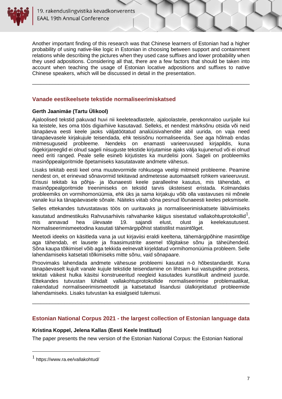

Another important finding of this research was that Chinese learners of Estonian had a higher probability of using native-like logic in Estonian in choosing between support and containment relations while describing the pictures when they used case suffixes and lower probability when they used adpositions. Considering all that, there are a few factors that should be taken into account when teaching the usage of Estonian locative adpositions and suffixes to native Chinese speakers, which will be discussed in detail in the presentation.

<span id="page-6-0"></span>\_\_\_\_\_\_\_\_\_\_\_\_\_\_\_\_\_\_\_\_\_\_\_\_\_\_\_\_\_\_\_\_\_\_\_\_\_\_\_\_\_\_\_\_\_\_\_\_\_\_\_\_\_\_\_\_\_\_\_\_\_\_\_\_\_\_\_\_\_\_\_\_\_\_\_

#### **Vanade eestikeelsete tekstide normaliseerimiskatsed**

#### <span id="page-6-1"></span>**Gerth Jaanimäe (Tartu Ülikool)**

Ajaloolised tekstid pakuvad huvi nii keeleteadlastele, ajaloolastele, perekonnaloo uurijaile kui ka teistele, kes oma töös digiarhiive kasutavad. Selleks, et nendest märksõnu otsida või neid tänapäeva eesti keele jaoks väljatöötatud analüüsivahendite abil uurida, on vaja need tänapäevasele kirjakujule teisendada, ehk teisisõnu normaliseerida. See aga hõlmab endas mitmesuguseid probleeme. Nendeks on enamasti varieeruvused kirjapildis, kuna õigekirjareeglid ei olnud sageli niisuguste tekstide kirjutamise ajaks välja kujunenud või ei olnud need eriti ranged. Peale selle esineb kirjutistes ka murdelisi jooni. Sageli on probleemiks masinõppealgoritmide õpetamiseks kasutatavate andmete vähesus.

Lisaks tekitab eesti keel oma muutevormide rohkusega veelgi mitmeid probleeme. Peamine nendest on, et erinevad sõnavormid tekitavad andmetesse automaatselt rohkem varieeruvust. Erisusi tekitab ka põhja- ja lõunaeesti keele paralleelne kasutus, mis tähendab, et masinõppealgoritmide treenimiseks on tekstid tarvis üksteisest eristada. Kolmandaks probleemiks on vormihomonüümia, ehk üks ja sama kirjakuju võib olla vastavuses nii mõnele vanale kui ka tänapäevasele sõnale. Näiteks viitab sõna pesnud lõunaeesti keeles peksmisele.

Selles ettekandes tutvustatavas töös on uuritavaks ja normaliseerimiskatsete läbiviimiseks

kasutatud andmestikuks Rahvusarhiivis rahvahanke käigus sisestatud vallakohtuprotokollid $^1,$ mis annavad hea ülevaate 19. sajandi elust, olust ja keelekasutusest. Normaliseerimismeetodina kasutati tähemärgipõhist statistilist masintõlget.

Meetodi ideeks on käsitleda vana ja uut kirjaviisi eraldi keeltena, tähemärgipõhine masintõlge aga tähendab, et lausete ja fraasimustrite asemel tõlgitakse sõnu ja täheühendeid. Sõna kaupa tõlkimisel võib aga tekkida eelnevalt kirjeldatud vormihomonüümia probleem. Selle lahendamiseks katsetati tõlkimiseks mitte sõnu, vaid sõnapaare.

Proovimaks lahendada andmete vähesuse probleemi kasutati n-ö hõbestandardit. Kuna tänapäevaselt kujult vanale kujule tekstide teisendamine on lihtsam kui vastupidine protsess, tekitati väikest hulka käsitsi konstrueeritud reegleid kasutades kunstlikult andmeid juurde. Ettekandes tutvustan lühidalt vallakohtuprotokollide normaliseerimise problemaatikat, rakendatud normaliseerimismeetodit ja katsetatud lisandusi ülalkirjeldatud probleemide lahendamiseks. Lisaks tutvustan ka esialgseid tulemusi.

#### **Estonian National Corpus 2021 - the largest collection of Estonian language data**

<span id="page-6-2"></span>\_\_\_\_\_\_\_\_\_\_\_\_\_\_\_\_\_\_\_\_\_\_\_\_\_\_\_\_\_\_\_\_\_\_\_\_\_\_\_\_\_\_\_\_\_\_\_\_\_\_\_\_\_\_\_\_\_\_\_\_\_\_\_\_\_\_\_\_\_\_\_\_\_\_\_

#### <span id="page-6-3"></span>**Kristina Koppel, Jelena Kallas (Eesti Keele Instituut)**

The paper presents the new version of the Estonian National Corpus: the Estonian National

 $<sup>1</sup>$  https://www.ra.ee/vallakohtud/</sup>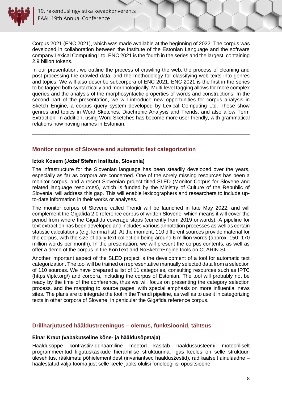

Corpus 2021 (ENC 2021), which was made available at the beginning of 2022. The corpus was developed in collaboration between the Institute of the Estonian Language and the software company Lexical Computing Ltd. ENC 2021 is the fourth in the series and the largest, containing 2.9 billion tokens.

In our presentation, we outline the process of crawling the web, the process of cleaning and post-processing the crawled data, and the methodology for classifying web texts into genres and topics. We will also describe subcorpora of ENC 2021. ENC 2021 is the first in the series to be tagged both syntactically and morphologically. Multi-level tagging allows for more complex queries and the analysis of the morphosyntactic properties of words and constructions. In the second part of the presentation, we will introduce new opportunities for corpus analysis in Sketch Engine, a corpus query system developed by Lexical Computing Ltd. These show genres and topics in Word Sketches, Diachronic Analysis and Trends, and also allow Term Extraction. In addition, using Word Sketches has become more user-friendly, with grammatical relations now having names in Estonian.

\_\_\_\_\_\_\_\_\_\_\_\_\_\_\_\_\_\_\_\_\_\_\_\_\_\_\_\_\_\_\_\_\_\_\_\_\_\_\_\_\_\_\_\_\_\_\_\_\_\_\_\_\_\_\_\_\_\_\_\_\_\_\_\_\_\_\_\_\_\_\_\_\_\_\_

#### <span id="page-7-0"></span>**Monitor corpus of Slovene and automatic text categorization**

#### <span id="page-7-1"></span>**Iztok Kosem (Jožef Stefan Institute, Slovenia)**

The infrastructure for the Slovenian language has been steadily developed over the years, especially as far as corpora are concerned. One of the sorely missing resources has been a monitor corpus, and a recent Slovenian project titled SLED (Monitor Corpus for Slovene and related language resources), which is funded by the Ministry of Culture of the Republic of Slovenia, will address this gap. This will enable lexicographers and researchers to include upto-date information in their works or analyses.

The monitor corpus of Slovene called Trendi will be launched in late May 2022, and will complement the Gigafida 2.0 reference corpus of written Slovene, which means it will cover the period from where the Gigafida coverage stops (currently from 2019 onwards). A pipeline for text extraction has been developed and includes various annotation processes as well as certain statistic calculations (e.g. lemma list). At the moment, 110 different sources provide material for the corpus, with the size of daily text collection being around 6 million words (approx. 150–170 million words per month). In the presentation, we will present the corpus contents, as well as offer a demo of the corpus in the KonText and NoSketchEngine tools on CLARIN.SI.

Another important aspect of the SLED project is the development of a tool for automatic text categorization. The tool will be trained on representative manually selected data from a selection of 110 sources. We have prepared a list of 11 categories, consulting resources such as IPTC (https://iptc.org/) and corpora, including the corpus of Estonian. The tool will probably not be ready by the time of the conference, thus we will focus on presenting the category selection process, and the mapping to source pages, with special emphasis on more influential news sites. The plans are to integrate the tool in the Trendi pipeline, as well as to use it in categorizing texts in other corpora of Slovene, in particular the Gigafida reference corpus.

\_\_\_\_\_\_\_\_\_\_\_\_\_\_\_\_\_\_\_\_\_\_\_\_\_\_\_\_\_\_\_\_\_\_\_\_\_\_\_\_\_\_\_\_\_\_\_\_\_\_\_\_\_\_\_\_\_\_\_\_\_\_\_\_\_\_\_\_\_\_\_\_\_\_\_

#### <span id="page-7-2"></span>**Drillharjutused hääldustreeningus – olemus, funktsioonid, tähtsus**

#### <span id="page-7-3"></span>**Einar Kraut (vabakutseline kõne- ja hääldusõpetaja)**

Hääldusõppe kontrastiiv-dünaamiline meetod käsitab hääldussüsteemi motooriliselt programmeeritud liigutuskäskude hierarhilise struktuurina. Igas keeles on selle struktuuri ülesehitus, rääkimata põhielementidest (invariantsed hääldusžestid), radikaalselt ainulaadne – häälestatud välja tooma just selle keele jaoks olulisi fonoloogilisi opositsioone.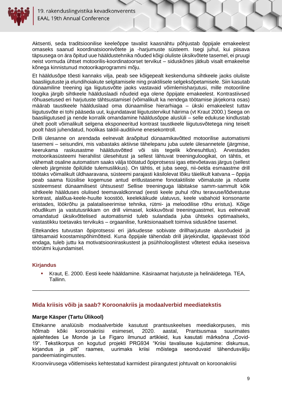

Aktsenti, seda traditsioonilise keeleõppe tavalist kaasnähtu põhjustab õppijale emakeelest omaseks saanud koordinatsioonivõtete ja -harjumuste süsteem. Isegi juhul, kui piisava täpsusega on ära õpitud uue hääldustehnika nõuded kõigi oluliste üksikvõtete tasemel, ei pruugi neist vormuda ühtset motoorilis-koordinatoorset tervikut – siduskõnes jätkub visalt emakeelse kõnega kinnistunud motoorikaprogrammi mõju.

Et hääldusõpe tõesti kannaks vilja, peab see kõigepealt keskenduma sihtkeele jaoks oluliste baasliigutuste ja elundihoiakute selgitamisele ning praktilisele selgeksõpetamisele. Siin kasutab dünaamiline treening iga liigutusvõtte jaoks vastavaid võimlemisharjutusi, mille motooriline loogika järgib sihtkeele häälduslaadi nõudeid ega olene õppijate emakeelest. Kontrastiivsed rõhuasetused eri harjutuste tähtsustamisel (võimalikult ka nendega töötamise järjekorra osas) määrab taustkeele häälduslaad oma dünaamilise hierarhiaga – ükski emakeelest tuttav liigutusvõte ei tohi pääseda uut, kujundatavat liigutustervikut häirima (vt Kraut 2000.) Seega on baasliigutused ja nende korralik omandamine hääldusõppe aluslüli – selle edukuse kindlustab ühelt poolt võimalikult selgena eksponeeritud kontrast taustkeele liigutusvõtetega ning teiselt poolt hästi juhendatud, hoolikas taktiil-auditiivne enesekontroll.

Drilli ülesanne on arendada eelnevalt äraõpitud dünaamikavõtted motoorilise automatismi tasemeni – seisundini, mis vabastaks aktiivse tähelepanu juba uutele ülesannetele (järgmise, keerukama raskusastme hääldusvõtted või siis tegelik kõnesuhtlus). Arvestades motoorikasüsteemi hierahilist ülesehitust ja sellest lähtuvat treeninguloogikat, on tähtis, et vähemalt osaline automatism saaks välja töötatud õpiprotsessi igas ettevõetavas järgus (sellest oleneb järgmiste õpilülide tulemuslikkus). On tähtis, et juba seegi, nii-öelda esmaastme drill töötaks võimalikult üldhaaravana, süsteemi parajasti käsilolevat lõiku täielikult katvana – õppija peab saama füüsilise kogemuse antud eritlustaseme fonotaktiliste võimaluste ja nõuete süsteemsest dünaamilisest ühtsusest! Sellise treeninguga läbitakse samm-sammult kõik sihtkeele häälduses olulised teemavaldkonnad (eesti keele puhul rõhu teravuse/lõdvestuse kontrast, alalõua-keele-huulte koostöö, keelekäikude ulatuvus, keele vabahoid konsonante eristades, löökrõhu ja palataliseerimise tehnika, rütmi- ja meloodilise rõhu eristus). Kõige nõudlikum ja vastutusrikkam on drill viimasel, kokkuvõtval treeninguastmel, kus eelnevalt omandatud üksikvõttelised automatismid tuleb sulandada juba ühtseks optimaalseks, vastastikku toetavaks tervikuks – orgaanilise, funktsionaalselt toimiva siduskõne tasemel.

Ettekandes tutvustan õpiprotsessi eri järkudesse sobivate drillharjutuste alusnõudeid ja tähtsamaid koostamispõhimõtteid. Kuna õppijale tähendab drill järjekindlat, igapäevast tööd endaga, tuleb juttu ka motivatsiooniraskustest ja psühholoogilistest võtetest eduka iseseisva töörütmi kujundamisel.

#### **Kirjandus**

<span id="page-8-0"></span>▪ Kraut, E. 2000. Eesti keele hääldamine. Käsiraamat harjutuste ja helinäidetega. TEA, Tallinn.

\_\_\_\_\_\_\_\_\_\_\_\_\_\_\_\_\_\_\_\_\_\_\_\_\_\_\_\_\_\_\_\_\_\_\_\_\_\_\_\_\_\_\_\_\_\_\_\_\_\_\_\_\_\_\_\_\_\_\_\_\_\_\_\_\_\_\_\_\_\_\_\_\_\_\_

#### **Mida kriisis võib ja saab? Koroonakriis ja modaalverbid meediatekstis**

#### <span id="page-8-1"></span>**Marge Käsper (Tartu Ülikool)**

Ettekanne analüüsib modaalverbide kasutust prantsuskeelses meediakorpuses, mis hõlmab kõiki koroonakriisi esimesel, 2020. aastal, Prantsusmaa suurimates ajalehtedes Le Monde ja Le Figaro ilmunud artikleid, kus kasutati märksõna "Covid-19". Tekstikorpus on kogutud projekti PRG934 "Kriisi tavalisuse kujutamine: diskursus, kirjandus ja pilt" raames, uurimaks kriisi mõistega seonduvaid tähendusvälju pandeemiatingimustes.

Kroonviirusega võitlemiseks kehtestatud karmidest piirangutest johtuvalt on koroonakriisi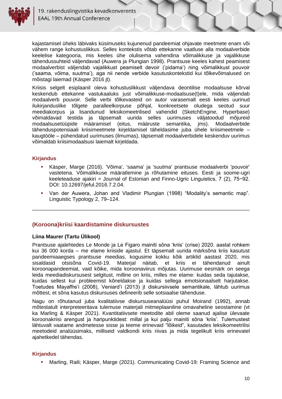

kajastamisel üheks läbivaks küsimuseks kujunenud pandeemiat ohjavate meetmete enam või vähem range kohustuslikkus. Selles kontekstis võtab ettekanne vaatluse alla modaalverbide keelelise kategooria, mis keeles ühe olulisema vahendina võimalikkuse ja vajalikkuse tähendussuhteid väljendavad (Auwera ja Plungian 1998). Prantsuse keeles kahest peamisest modaalverbist väljendab vajalikkust peamiselt devoir ('pidama') ning võimalikkust pouvoir ('saama, võima, suutma'), aga nii nende verbide kasutuskontekstid kui tõlkevõimalused on mõistagi laiemad (Käsper 2016 jt).

Kriisis selgelt esiplaanil oleva kohustuslikkust väljendava deontilise modaalsuse kõrval keskendub ettekanne vastukaaluks just võimalikkuse-modaalsuse(t)ele, mida väljendab modaalverb pouvoir. Selle verbi tõlkevasteid on autor varasemalt eesti keeles uurinud ilukirjanduslike tõlgete paralleelkorpuse põhjal, konkreetsete oludega seotud suur meediakorpus ja lisandunud leksikomeetrilised vahendid (SketchEngine, Hyperbase) võimaldavad testida ja täpsemalt uurida selles uurimuses väljatoodud mõjureid modaalsusetüüpide määramisel (eitus, määruste semantika, jms). Modaalverbide tähenduspotensiaali kriisimeetmete kirjeldamisel täheldasime juba ühele kriisimeetmele – kaugtööle – pühendatud uurimuses (ilmumas), täpsemalt modaalverbidele keskenduv uurimus võimaldab kriisimodaalsusi laiemalt kirjeldada.

#### **Kirjandus**

- Käsper, Marge (2016). 'Võima', 'saama' ja 'suutma' prantsuse modaalverbi 'pouvoir' vastetena. Võimalikkuse määratlemine ja rõhutamine eituses. Eesti ja soome-ugri keeleteaduse ajakiri = Journal of Estonian and Finno-Ugric Linguistics, 7 (2), 75−92. DOI: 10.12697/jeful.2016.7.2.04.
- Van der Auwera, Johan and Vladimir Plungian (1998) "Modality's semantic map". Linguistic Typology 2, 79–124.

\_\_\_\_\_\_\_\_\_\_\_\_\_\_\_\_\_\_\_\_\_\_\_\_\_\_\_\_\_\_\_\_\_\_\_\_\_\_\_\_\_\_\_\_\_\_\_\_\_\_\_\_\_\_\_\_\_\_\_\_\_\_\_\_\_\_\_\_\_\_\_\_\_\_\_

#### <span id="page-9-0"></span>**(Koroona)kriisi kaardistamine diskursustes**

#### <span id="page-9-1"></span>**Liina Maurer (Tartu Ülikool)**

Prantsuse ajalehtedes Le Monde ja Le Figaro mainiti sõna 'kriis' (crise) 2020. aastal rohkem kui 36 000 korda – me elame kriiside ajastul. Et täpsemalt uurida märksõna kriis kasutust pandeemiaaegses prantsuse meedias, kogusime kokku kõik artiklid aastast 2020, mis sisaldasid otsisõna Covid-19. Materjal näitab, et kriis ei tähendanud ainult koroonapandeemiat, vaid kõike, mida koroonaviirus mõjutas. Uurimuse eesmärk on seega leida meediadiskursusest selgitust, milline on kriis, milles me elame: kuidas seda tajutakse, kuidas sellest kui probleemist kõneldakse ja kuidas sellega emotsionaalselt harjutakse. Toetudes Mayaffre'i (2008), Veniard'i (2013) jt diskursiivsele semantikale, lähtub uurimus mõttest, et sõna kasutus diskursuses defineerib selle sotsiaalse tähenduse.

Nagu on rõhutanud juba kvalitatiivse diskursuseanalüüsi puhul Moirand (1992), annab mõtestatult interpreteeritava tulemuse materjali mitmeplaaniline omavaheline seostamine (vt ka Marling & Käsper 2021). Kvantitatiivsete meetodite abil oleme saanud ajalise ülevaate koroonakriisi arengust ja haripunktidest: millal ja kui palju mainiti sõna 'kriis'. Tulemustest lähtuvalt vaatame andmetesse sisse ja teeme erinevaid "lõikeid", kasutades leksikomeetrilisi meetodeid analüüsimaks, milliseid valdkondi kriis riivas ja mida tegelikult kriis erinevatel ajahetkedel tähendas.

#### **Kirjandus**

Marling, Raili; Käsper, Marge (2021). Communicating Covid-19: Framing Science and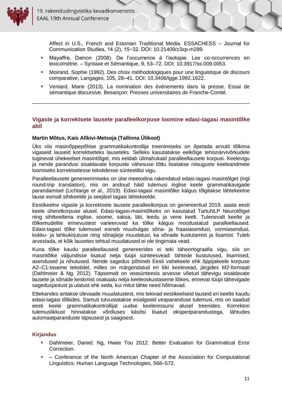

Affect in U.S., French and Estonian Traditional Media. ESSACHESS – Journal for Communication Studies, 14 (2), 15−32. DOI: 10.21409/z3xp-m289.

- Mayaffre, Damon (2008). De l'occurrence à l'isotopie. Les co-occurrences en lexicométrie. – Syntaxe et Sémantique, 9, 53–72. DOI: 10.3917/ss.009.0053.
- Moirand, Sophie (1992). Des choix méthodologiques pour une linguistique de discours comparative, Langages, 105, 28–41. DOI: 10.3406/lgge.1992.1622.
- Veniard, Marie (2013). La nomination des événements dans la presse. Essai de sémantique discursive. Besançon: Presses universitaires de Franche-Comté.

#### <span id="page-10-0"></span>**Vigaste ja korrektsete lausete paralleelkorpuse loomine edasi-tagasi masintõlke abil**

\_\_\_\_\_\_\_\_\_\_\_\_\_\_\_\_\_\_\_\_\_\_\_\_\_\_\_\_\_\_\_\_\_\_\_\_\_\_\_\_\_\_\_\_\_\_\_\_\_\_\_\_\_\_\_\_\_\_\_\_\_\_\_\_\_\_\_\_\_\_\_\_\_\_\_

#### <span id="page-10-1"></span>**Martin Mõtus, Kais Allkivi-Metsoja (Tallinna Ülikool)**

Üks viis masinõppepõhise grammatikakontrollija treenimiseks on õpetada arvutit tõlkima vigaseid lauseid korrektseteks lauseteks. Selleks kasutatakse eelkõige tehisnärvivõrkudele tuginevat ühekeelset masintõlget, mis eeldab ülimahukaid paralleellausete korpusi. Keelevigu ja nende parandusi sisaldavate korpuste vähesuse tõttu lisatakse niisuguste keeleandmete loomiseks korrektsetesse tekstidesse sünteetilisi vigu.

Paralleellausete genereerimiseks on ühe meetodina rakendatud edasi-tagasi masintõlget (ingl round-trip translation), mis on andnud häid tulemusi inglise keele grammatikavigade parandamisel (Lichtarge *et al.*, 2019). Edasi-tagasi masintõlke käigus tõlgitakse lähtekeelne lause esmalt sihtkeelde ja seejärel tagasi lähtekeelde.

Eestikeelne vigaste ja korrektsete lausete paralleelkorpus on genereeritud 2019. aasta eesti keele ühendkorpuse alusel. Edasi-tagasi-masintõlkeks on kasutatud TartuNLP Neurotõlget ning sihtkeeltena inglise, soome, saksa, läti, leedu ja vene keelt. Tulenevalt keelte ja tõlkemudelite erinevustest varieeruvad ka tõlke käigus moodustatud paralleellaused. Edasi-tagasi tõlke tulemusel esineb muuhulgas sõna- ja fraasiasendusi, vormiasendusi, kokku- ja lahkukirjutuse ning sõnajärje muudatusi, ka sõnade kustutamist ja lisamist. Tuleb arvestada, et kõik lausetes tehtud muudatused ei ole tingimata vead.

Kuna tõlke kaudu paralleellauseid genereerides ei teki täheortograafia vigu, siis on masintõlke väljundisse lisatud nelja tüüpi sünteesvead: tähtede kustutused, lisamised, asendused ja nihutused. Nende sagedus põhineb Eesti vahekeele ehk õppijakeele korpuse A2–C1-taseme tekstidel, milles on märgendatud eri liiki keelevead, järgides M2-formaati (Dahlmeier & Ng, 2012). Täpsemalt on veasünteesis arvesse võetud tähevigu sisaldavate lausete ja sõnade keskmist osakaalu nelja keeleoskustaseme lõikes, erinevat tüüpi tähevigade sagedusjaotust ja ulatust ehk seda, kui mitut tähte need hõlmavad.

Ettekandes antakse ülevaade muudatustest, mis tekivad eestikeelseid lauseid eri keelte kaudu edasi-tagasi tõlkides. Samuti tutvustatakse esialgseid veaparanduse tulemusi, mis on saadud eesti keele grammatikakontrollijat uudse keeleressursi alusel treenides. Korrektori tulemuslikkust hinnatakse võrdluses käsitsi lisatud ekspertparandustega, lähtudes automaatparanduste täpsusest ja saagisest.

#### **Kirjandus**

- Dahlmeier, Daniel; Ng, Hwee Tou 2012. Better Evaluation for Grammatical Error Correction.
- Conference of the North American Chapter of the Association for Computational Linguistics: Human Language Technologies, 568–572.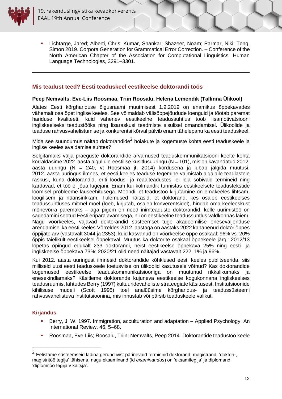

Lichtarge, Jared; Alberti, Chris; Kumar, Shankar; Shazeer, Noam; Parmar, Niki; Tong, Simon 2019. Corpora Generation for Grammatical Error Correction. – Conference of the North American Chapter of the Association for Computational Linguistics: Human Language Technologies, 3291–3301.

<span id="page-11-0"></span>\_\_\_\_\_\_\_\_\_\_\_\_\_\_\_\_\_\_\_\_\_\_\_\_\_\_\_\_\_\_\_\_\_\_\_\_\_\_\_\_\_\_\_\_\_\_\_\_\_\_\_\_\_\_\_\_\_\_\_\_\_\_\_\_\_\_\_\_\_\_\_\_\_\_\_

#### **Mis teadust teed? Eesti teaduskeel eestikeelse doktorandi töös**

#### <span id="page-11-1"></span>**Peep Nemvalts, Eve-Liis Roosmaa, Triin Roosalu, Helena Lemendik (Tallinna Ülikool)**

Alates Eesti kõrghariduse õigusraami muutmisest 1.9.2019 on enamikus õppekavades vähemalt osa õpet inglise keeles. See võimaldab välisõppejõudude loenguid ja tõotab paremat hariduse kvaliteeti, kuid vähenev eestikeelne teadussuhtlus toob lisamotivatsiooni ingliskeelseks teadustööks ning lisaraskusi teadmiste sisulisel omandamisel. Ülikoolide ja teaduse rahvusvahelistumise ja konkurentsi kõrval pälvib enam tähelepanu ka eesti teaduskeel.

Mida see suundumus näitab doktorandide $^2$  hoiakute ja kogemuste kohta eesti teaduskeele ja inglise keeles avaldamise suhtes?

Selgitamaks välja praeguste doktorandide arvamused teaduskommunikatsiooni keelte kohta korraldasime 2022. aasta algul üle-eestilise küsitlusuuringu (N = 101), mis on kavandatud 2012. aasta uuringu (N = 240, vt Roosmaa jt, 2014) kordusena ja lubab jälgida muutusi. 2012. aasta uuringus ilmnes, et eesti keeles teaduse tegemine valmistab algajaile teadlastele raskusi, kuna doktorandid, eriti loodus- ja reaalteadustes, ei leia sobivaid termineid ning kardavad, et töö ei jõua lugejani. Enam kui kolmandik tunnistas eestikeelsete teadustekstide loomisel probleeme lauseehitusega. Mööndi, et teadustöö kirjutamine on emakeeles lihtsam, loogilisem ja nüansirikkam. Tulemused näitasid, et doktorand, kes osaleb eestikeelses teadussuhtluses mitmel moel (loeb, kirjutab, osaleb konverentsidel), hindab oma keeleoskust mõnevõrra paremaks – aga pigem on need inimteaduste doktorandid, kelle uurimistöö on sagedamini seotud Eesti eripära avamisega, nii on eestikeelne teadussuhtlus valdkonnas laiem. Nagu võõrkeeles, vajavad doktorandid süsteemset tuge akadeemilise eneseväljenduse arendamisel ka eesti keeles.Võrreldes 2012. aastaga on aastaks 2022 kahanenud doktoriõppes õppijate arv (vastavalt 3044 ja 2353), kuid kasvanud on võõrkeelse õppe osakaal: 96% vs. 20% õppis täielikult eestikeelsel õppekaval. Muutus ka doktorite osakaal õppekeele järgi: 2012/13 lõpetas õpingud edukalt 233 doktorandi, neist eestikeelse õppekava 25% ning eesti- ja ingliskeelse õppekava 73%; 2020/21 olid need näitajad vastavalt 222, 1% ja 96%.

Kui 2012. aasta uuringust ilmnesid doktorandide kõhklused eesti keeles publitseerida, siis milliseid uusi eesti teaduskeele toetusviise on ülikoolid kasutusele võtnud? Kas doktorandide kogemused eestikeelse teaduskommunikatsiooniga on muutunud rikkalikumaks ja enesekindlamaks? Käsitleme doktorande kujuneva eestikeelse kogukonnana ingliskeelses teadusruumis, lähtudes Berry (1997) kultuuridevaheliste strateegiate käsitusest. Institutsioonide kihilisuse mudeli (Scott 1995) toel analüüsime kõrgharidus- ja teadussüsteemi rahvusvahelistuva institutsioonina, mis innustab või pärsib teaduskeele valikut.

#### **Kirjandus**

- Berry, J. W. 1997. Immigration, acculturation and adaptation Applied Psychology: An International Review, 46, 5–68.
- Roosmaa, Eve-Liis; Roosalu, Triin; Nemvalts, Peep 2014. Doktorantide teadustöö keele

 $^2$  Eelistame süsteemseid ladina gerundiivist pärinevaid termineid doktorand, magistrand, 'doktori-, magistritöö tegija' tähisena, nagu eksaminand (ld *examinandus*) on 'eksamitegija' ja diplomand 'diplomitöö tegija v kaitsja'.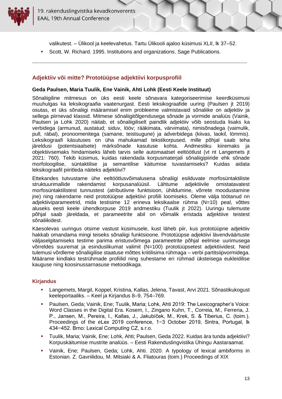

valikutest. – Ülikool ja keelevahetus. Tartu Ülikooli ajaloo küsimusi XLII, lk 37–52.

<span id="page-12-0"></span>**\_\_\_\_\_\_\_\_\_\_\_\_\_\_\_\_\_\_\_\_\_\_\_\_\_\_\_\_\_\_\_\_\_\_\_\_\_\_\_\_\_\_\_\_\_\_\_\_\_\_\_\_\_\_\_\_\_\_\_\_\_\_\_\_\_\_\_\_**

Scott, W. Richard. 1995. Institutions and organizations. Sage Publications.

#### **Adjektiiv või mitte? Prototüüpse adjektiivi korpusprofiil**

#### <span id="page-12-1"></span>**Geda Paulsen, Maria Tuulik, Ene Vainik, Ahti Lohk (Eesti Keele Instituut)**

Sõnaliigiline mitmesus on üks eesti keele sõnavara kategoriseerimise keerdküsimusi muuhulgas ka leksikograafia vaatenurgast. Eesti leksikograafide uuring (Paulsen jt 2019) osutas, et üks sõnaliigi määramisel enim probleeme valmistavaid sõnaliike on adjektiiv ja sellega piirnevad klassid. Mitmese sõnaliigitõlgendusega sõnade ja vormide analüüs (Vainik, Paulsen ja Lohk 2020) näitab, et sõnaliigiliselt paindlik adjektiiv võib seostuda lisaks ka verbidega (armunud, austatud; siduv, lööv; rääkimata, värvimata), nimisõnadega (vaimulik, pull, räbal), pronoomenitega (samane, teistsugune) ja adverbidega (kiivas, laokil, lömmis). Leksikograafi käsutuses on üha mahukamad tekstikorpused, mille põhjal saab teha järeldusi (potentsiaalsete) märksõnade kasutuse kohta. Andmestiku kiiremaks ja objektiivsemaks hindamiseks läheb tarvis selle automaatset eeltöötlust (vt nt Langemets jt 2021: 760). Tekib küsimus, kuidas rakendada korpusmaterjali sõnaliigipiiride ehk sõnade morfoloogilise, süntaktilise ja semantilise käitumise tuvastamiseks? Kuidas aidata leksikograafil piiritleda näiteks adjektiivi?

Ettekandes tutvustame ühe eeltöötlusvõimalusena sõnaliigi esilduvate morfosüntaktiliste struktuurimallide rakendamist korpusanalüüsil. Lähtume adjektiivile omistatavatest morfosüntaktilistest tunnustest (atributiivne funktsioon, ühildumine, võrrete moodustamine jne) ning rakendame neid prototüüpse adjektiivi profiili loomiseks. Oleme välja töötanud nn adjektiiviparameetrid, mida testisime 12 erineva leksikaalse rühma (N=10) peal, võttes aluseks eesti keele ühendkorpuse 2019 andmestiku (Tuulik jt 2022). Uuringu tulemuste põhjal saab järeldada, et parameetrite abil on võimalik eristada adjektiive teistest sõnaliikidest.

Käesolevas uuringus otsime vastust küsimusele, kust läheb piir, kus prototüüpne adjektiiv hakkab omandama mingi teiseks sõnaliigi funktsioone. Prototüüpse adjektiivi lävendväärtuste väljaselgitamiseks testime parima eristusvõimega parameetrite põhjal eelmise uurimusega võrreldes suuremat ja esinduslikumat valimit (N=100) prototüüpsetest adjektiividest. Neid tulemusi võrdleme sõnaliigilise staatuse mõttes kriitilisima rühmaga – verbi partitsiipvormidega. Määrame kindlaks testrühmade profiilid ning suhestame eri rühmad üksteisega eukleidilise kauguse ning koosinussarnasuse metoodikaga.

#### **Kirjandus**

- Langemets, Margit, Koppel, Kristina, Kallas, Jelena, Tavast, Arvi 2021. Sõnastikukogust keeleportaaliks. – Keel ja Kirjandus 8–9, 754–769.
- Paulsen, Geda; Vainik, Ene; Tuulik, Maria; Lohk, Ahti 2019: The Lexicographer's Voice: Word Classes in the Digital Era. Kosem, I., Zingano Kuhn, T., Correia, M., Ferreria, J. P., Jansen, M., Pereira, I., Kallas, J., Jakubíček, M., Krek, S. & Tiberius, C. (toim.). Proceedings of the eLex 2019 conference, 1−3 October 2019, Sintra, Portugal, lk 434−452. Brno: Lexical Computing CZ, s.r.o.
- Tuulik, Maria; Vainik, Ene; Lohk, Ahti; Paulsen, Geda 2022. Kuidas ära tunda adjektiivi? Korpuskäitumise mustrite analüüs. – Eesti Rakenduslingvistika Ühingu Aastaraamat.
- Vainik, Ene; Paulsen, Geda; Lohk, Ahti. 2020. A typology of lexical ambiforms in Estonian. Z. Gavriilidou, M. Mitsiaki & A. Fliatouras (toim.) Proceedings of XIX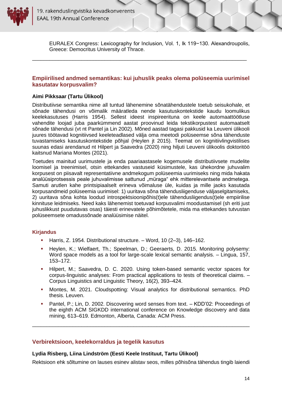

<span id="page-13-0"></span>EURALEX Congress: Lexicography for Inclusion, Vol. 1, lk 119−130. Alexandroupolis, Greece: Democritus University of Thrace.

#### **Empiirilised andmed semantikas: kui juhuslik peaks olema polüseemia uurimisel kasutatav korpusvalim?**

\_\_\_\_\_\_\_\_\_\_\_\_\_\_\_\_\_\_\_\_\_\_\_\_\_\_\_\_\_\_\_\_\_\_\_\_\_\_\_\_\_\_\_\_\_\_\_\_\_\_\_\_\_\_\_\_\_\_\_\_\_\_\_\_\_\_\_\_\_\_\_\_\_\_

#### <span id="page-13-1"></span>**Aimi Pikksaar (Tartu Ülikool)**

Distributiivse semantika nime all tuntud lähenemine sõnatähendustele toetub seisukohale, et sõnade tähendusi on võimalik määratleda nende kasutuskontekstide kaudu loomulikus keelekasutuses (Harris 1954). Sellest ideest inspireerituna on keele automaattöötluse vahendite loojad juba paarkümmend aastat proovinud leida tekstikorpustest automaatselt sõnade tähendusi (vt nt Pantel ja Lin 2002). Mõned aastad tagasi pakkusid ka Leuveni ülikooli juures töötavad kognitiivsed keeleteadlased välja oma meetodi polüseemse sõna tähenduste tuvastamiseks kasutuskontekstide põhjal (Heylen jt 2015). Teemat on kognitiivlingvistilises suunas edasi arendanud nt Hilpert ja Saavedra (2020) ning hiljuti Leuveni ülikoolis doktoritöö kaitsnud Mariana Montes (2021).

Toetudes mainitud uurimustele ja enda paariaastasele kogemusele distributiivsete mudelite loomisel ja treenimisel, otsin ettekandes vastuseid küsimustele, kas ühekordne juhuvalim korpusest on piisavalt representatiivne andmekogum polüseemia uurimiseks ning mida hakata analüüsiprotsessis peale juhuvalimisse sattunud "müraga" ehk mitterelevantsete andmetega. Samuti arutlen kahe printsipiaalselt erineva võimaluse üle, kuidas ja mille jaoks kasutada korpusandmeid polüseemia uurimisel: 1) uuritava sõna tähendusliigenduse väljaselgitamiseks, 2) uuritava sõna kohta loodud introspektsioonipõhis(t)ele tähendusliigendus(t)ele empiirilise kinnituse leidmiseks. Need kaks lähenemist toetuvad korpusvalimi moodustamisel (sh eriti just juhuslikkust puudutavas osas) täiesti erinevatele põhimõtetele, mida ma ettekandes tutvustan polüseemsete omadussõnade analüüsimise näitel.

#### **Kirjandus**

- Harris, Z. 1954. Distributional structure. Word, 10 (2–3), 146–162.
- Heylen, K.; Wielfaert, Th.; Speelman, D.; Geeraerts, D. 2015. Monitoring polysemy: Word space models as a tool for large-scale lexical semantic analysis. – Lingua, 157, 153–172.
- Hilpert, M.; Saavedra, D. C. 2020. Using token-based semantic vector spaces for corpus-linguistic analyses: From practical applications to tests of theoretical claims. – Corpus Linguistics and Linguistic Theory, 16(2), 393–424.
- Montes, M. 2021. Cloudspotting: Visual analytics for distributional semantics. PhD thesis. Leuven.
- Pantel, P.; Lin, D. 2002. Discovering word senses from text. KDD'02: Proceedings of the eighth ACM SIGKDD international conference on Knowledge discovery and data mining, 613–619. Edmonton, Alberta, Canada: ACM Press.

<span id="page-13-2"></span>\_\_\_\_\_\_\_\_\_\_\_\_\_\_\_\_\_\_\_\_\_\_\_\_\_\_\_\_\_\_\_\_\_\_\_\_\_\_\_\_\_\_\_\_\_\_\_\_\_\_\_\_\_\_\_\_\_\_\_\_\_\_\_\_\_\_\_\_\_\_\_\_\_\_\_

#### **Verbirektsioon, keelekorraldus ja tegelik kasutus**

#### <span id="page-13-3"></span>**Lydia Risberg, Liina Lindström (Eesti Keele Instituut, Tartu Ülikool)**

Rektsioon ehk sõltumine on lauses esinev alistav seos, milles põhisõna tähendus tingib laiendi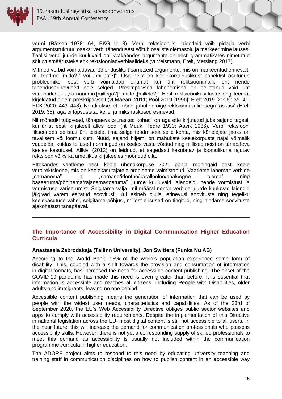

vormi (Rätsep 1978: 64, EKG II: 8). Verbi rektsioonilisi laiendeid võib pidada verbi argumentstruktuuri osaks: verbi tähendusest sõltub osaliste olemasolu ja markeerimine lauses. Taolisi verbi juurde kuuluvaid obliikvakäändes argumente on eesti grammatikates nimetatud sõltuvusmäärusteks ehk rektsiooniadverbiaalideks (vt Veismann, Erelt, Metslang 2017).

Mitmed verbid võimaldavad tähenduslikult sarnaseid argumente, mis on markeeritud erinevalt, nt "teadma [mida?]" või "[millest?]". Osa neist on keelekorralduslikust aspektist osutunud probleemiks, sest verb võimaldab enamat kui üht rektsioonimalli, ent nende tähenduserinevused pole selged. Preskriptiivsed lähenemised on eelistanud vaid üht variantidest, nt "sarnanema [millega?]", mitte "[millele?]". Eesti rektsioonikäsitlustes ongi teemat kirjeldatud pigem preskriptiivselt (vt Mäearu 2011; Pool 2019 [1996]; Erelt 2019 [2006]: 35–41; EKK 2020: 443–448). Nenditakse, et "mõnel juhul on õige rektsiooni valimisega raskusi" (Erelt 2019: 35), aga ei täpsustata, kellel ja miks raskused esinevad.

Nii mõnedki tüüpvead, tänapäevaks "rasked kohad" on aga ette kirjutatud juba sajand tagasi, kui ühist eesti kirjakeelt alles loodi (nt Muuk, Tedre 1930; Aavik 1936). Verbi rektsiooni fikseerides eelistati üht teisele, ilma selge teadmiseta selle kohta, mis kõnelejate jaoks on tavalisem või loomulikum. Nüüd, sajand hiljem, on mahukate keelekorpuste najal võimalik vaadelda, kuidas tollased normingud on keeles vastu võetud ning millised neist on tänapäeva keeles kasutusel. Allkivi (2012) on leidnud, et sagedasti kasutatav ja loomulikuna tajutav rektsioon võiks ka ametlikus kirjakeeles mööndud olla.

Ettekandes vaatleme eesti keele ühendkorpuse 2021 põhjal mõningaid eesti keele verbirektsioone, mis on keelekasutajatele probleeme valmistanud. Vaatleme lähemalt verbide "sarnanema" ja "sarnane/identne/paralleelne/analoogne olema" ning baseeruma/põhinema/rajanema/toetuma" juurde kuuluvaid laiendeid, nende vormistust ja vormistuse varieerumist. Selgitame välja, mil määral nende verbide juurde kuuluvad laiendid jälgivad varem esitatud soovitusi. Kui esineb olulisi erinevusi soovituste ning tegeliku keelekasutuse vahel, selgitame põhjusi, millest erisused on tingitud, ning hindame soovituste ajakohasust tänapäeval.

#### <span id="page-14-0"></span>**The Importance of Accessibility in Digital Communication Higher Education Curricula**

\_\_\_\_\_\_\_\_\_\_\_\_\_\_\_\_\_\_\_\_\_\_\_\_\_\_\_\_\_\_\_\_\_\_\_\_\_\_\_\_\_\_\_\_\_\_\_\_\_\_\_\_\_\_\_\_\_\_\_\_\_\_\_\_\_\_\_\_\_\_\_\_\_\_\_

#### <span id="page-14-1"></span>**Anastassia Zabrodskaja (Tallinn University), Jon Switters (Funka Nu AB)**

According to the World Bank, 15% of the world's population experience some form of disability. This, coupled with a shift towards the provision and consumption of information in digital formats, has increased the need for accessible content publishing. The onset of the COVID-19 pandemic has made this need is even greater than before. It is essential that information is accessible and reaches all citizens, including People with Disabilities, older adults and immigrants, leaving no one behind.

Accessible content publishing means the generation of information that can be used by people with the widest user needs, characteristics and capabilities. As of the 23rd of September 2020, the EU's Web Accessibility Directive obliges public sector websites and apps to comply with accessibility requirements. Despite the implementation of this Directive in national legislation across the EU, most digital content is still not accessible to all users. In the near future, this will increase the demand for communication professionals who possess accessibility skills. However, there is not yet a corresponding supply of skilled professionals to meet this demand as accessibility is usually not included within the communication programme curricula in higher education.

The ADORE project aims to respond to this need by educating university teaching and training staff in communication disciplines on how to publish content in an accessible way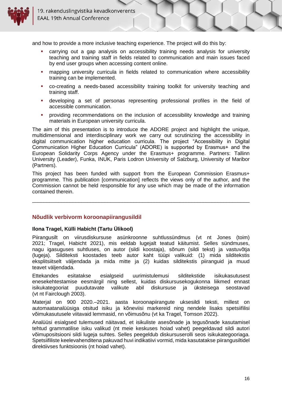

and how to provide a more inclusive teaching experience. The project will do this by:

- carrying out a gap analysis on accessibility training needs analysis for university teaching and training staff in fields related to communication and main issues faced by end user groups when accessing content online.
- mapping university curricula in fields related to communication where accessibility training can be implemented.
- co-creating a needs-based accessibility training toolkit for university teaching and training staff.
- developing a set of personas representing professional profiles in the field of accessible communication.
- providing recommendations on the inclusion of accessibility knowledge and training materials in European university curricula.

The aim of this presentation is to introduce the ADORE project and highlight the unique, multidimensional and interdisciplinary work we carry out scrutinizing the accessibility in digital communication higher education curricula. The project "Accessibility in Digital Communication Higher Education Curricula" (ADORE) is supported by Erasmus+ and the European Solidarity Corps Agency under the Erasmus+ programme. Partners: Tallinn University (Leader), Funka, INUK, Paris Lodron University of Salzburg, University of Maribor (Partners).

This project has been funded with support from the European Commission Erasmus+ programme. This publication [communication] reflects the views only of the author, and the Commission cannot be held responsible for any use which may be made of the information contained therein.

\_\_\_\_\_\_\_\_\_\_\_\_\_\_\_\_\_\_\_\_\_\_\_\_\_\_\_\_\_\_\_\_\_\_\_\_\_\_\_\_\_\_\_\_\_\_\_\_\_\_\_\_\_\_\_\_\_\_\_\_\_\_\_\_\_\_\_\_\_\_\_\_\_\_\_

#### <span id="page-15-0"></span>**Nõudlik verbivorm koroonapiirangusildil**

#### <span id="page-15-1"></span>**Ilona Tragel, Külli Habicht (Tartu Ülikool)**

Piirangusilt on viirusdiskursuse asünkroonne suhtlussündmus (vt nt Jones (toim) 2021; Tragel, Habicht 2021), mis eeldab lugejalt teatud käitumist. Selles sündmuses, nagu igasuguses suhtluses, on autor (sildi koostaja), sõnum (sildi tekst) ja vastuvõtja (lugeja). Silditeksti koostades teeb autor kaht tüüpi valikuid: (1) mida silditekstis eksplitsiitselt väljendada ja mida mitte ja (2) kuidas silditekstis piiranguid ja muud teavet väljendada.

Ettekandes esitatakse esialgseid uurimistulemusi silditekstide isikukasutusest enesekehtestamise eesmärgil ning sellest, kuidas diskursusekogukonna liikmed ennast isikukategooriat puudutavate valikute abil diskursuse ja üksteisega seostavad (vt nt Fairclough 2003).

Materjal on 900 2020.–2021. aasta koroonapiirangute uksesildi teksti, millest on automaatanalüüsiga otsitud isiku ja kõneviisi markereid ning nendele lisaks spetsiifilisi võimukasutusele viitavaid lemmasid, nn võimusõnu (vt ka Tragel, Tomson 2022).

Analüüsi esialgsed tulemused näitavad, et isikuliste asesõnade ja tegusõnade kasutamisel tehtud grammatilise isiku valikud (nt meie keskuses hoiad vahet) peegeldavad sildi autori võimupositsiooni sildi lugeja suhtes. Selles peegeldub diskursuserolli seos isikukategooriaga. Spetsiifiliste keelevahenditena pakuvad huvi indikatiivi vormid, mida kasutatakse piirangusiltidel direktiivses funktsioonis (nt hoiad vahet).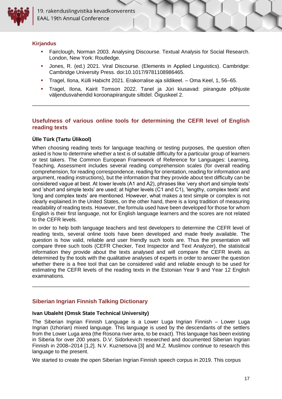

#### **Kirjandus**

- **EXECT Fairclough, Norman 2003. Analysing Discourse. Textual Analysis for Social Research.** London, New York: Routledge.
- Jones, R. (ed.) 2021. Viral Discourse. (Elements in Applied Linguistics). Cambridge: Cambridge University Press. doi:10.1017/9781108986465.
- Tragel, Ilona, Külli Habicht 2021. Erakorralise aja sildikeel. Oma Keel, 1, 56–65.
- Tragel, Ilona, Kairit Tomson 2022. Tanel ja Jüri kiusavad: piirangute põhjuste väljendusvahendid koroonapiirangute siltidel. Õiguskeel 2.

#### **Usefulness of various online tools for determining the CEFR level of English reading texts**

<span id="page-16-0"></span>\_\_\_\_\_\_\_\_\_\_\_\_\_\_\_\_\_\_\_\_\_\_\_\_\_\_\_\_\_\_\_\_\_\_\_\_\_\_\_\_\_\_\_\_\_\_\_\_\_\_\_\_\_\_\_\_\_\_\_\_\_\_\_\_\_\_\_\_\_\_\_\_\_\_\_

#### <span id="page-16-1"></span>**Ülle Türk (Tartu Ülikool)**

When choosing reading texts for language teaching or testing purposes, the question often asked is how to determine whether a text is of suitable difficulty for a particular group of learners or test takers. The Common European Framework of Reference for Languages: Learning, Teaching, Assessment includes several reading comprehension scales (for overall reading comprehension, for reading correspondence, reading for orientation, reading for information and argument, reading instructions), but the information that they provide about text difficulty can be considered vague at best. At lower levels (A1 and A2), phrases like 'very short and simple texts' and 'short and simple texts' are used; at higher levels (C1 and C1), 'lengthy, complex texts' and 'long and complex texts' are mentioned. However, what makes a text simple or complex is not clearly explained.In the United States, on the other hand, there is a long tradition of measuring readability of reading texts. However, the formula used have been developed for those for whom English is their first language, not for English language learners and the scores are not related to the CEFR levels.

In order to help both language teachers and test developers to determine the CEFR level of reading texts, several online tools have been developed and made freely available. The question is how valid, reliable and user friendly such tools are. Thus the presentation will compare three such tools (CEFR Checker, Text Inspector and Text Analyzer), the statistical information they provide about the texts analysed and will compare the CEFR levels as determined by the tools with the qualitative analyses of experts in order to answer the question whether there is a free tool that can be considered valid and reliable enough to be used for estimating the CEFR levels of the reading texts in the Estonian Year 9 and Year 12 English examinations.

\_\_\_\_\_\_\_\_\_\_\_\_\_\_\_\_\_\_\_\_\_\_\_\_\_\_\_\_\_\_\_\_\_\_\_\_\_\_\_\_\_\_\_\_\_\_\_\_\_\_\_\_\_\_\_\_\_\_\_\_\_\_\_\_\_\_\_\_\_\_\_\_\_\_\_

#### <span id="page-16-2"></span>**Siberian Ingrian Finnish Talking Dictionary**

#### <span id="page-16-3"></span>**Ivan Ubaleht (Omsk State Technical University)**

The Siberian Ingrian Finnish Language is a Lower Luga Ingrian Finnish – Lower Luga Ingrian (Izhorian) mixed language. This language is used by the descendants of the settlers from the Lower Luga area (the Rosona river area, to be exact). This language has been existing in Siberia for over 200 years. D.V. Sidorkevich researched and documented Siberian Ingrian Finnish in 2008–2014 [1,2]. N.V. Kuznetsova [3] and M.Z. Muslimov continue to research this language to the present.

We started to create the open Siberian Ingrian Finnish speech corpus in 2019. This corpus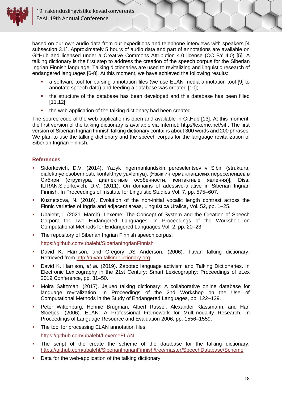

based on our own audio data from our expeditions and telephone interviews with speakers [4 subsection 3.1]. Approximately 5 hours of audio data and part of annotations are available on GitHub and licensed under a Creative Commons Attribution 4.0 license (CC BY 4.0) [5]. A talking dictionary is the first step to address the creation of the speech corpus for the Siberian Ingrian Finnish language. Talking dictionaries are used to revitalizing and linguistic research of endangered languages [6-8]. At this moment, we have achieved the following results:

- a software tool for parsing annotation files (we use ELAN media annotation tool [9] to annotate speech data) and feeding a database was created [10];
- the structure of the database has been developed and this database has been filled [11,12];
- the web application of the talking dictionary had been created.

The source code of the web application is open and available in GitHub [13]. At this moment, the first version of the talking dictionary is available via Internet: http://lexeme.net/sif . The first version of Siberian Ingrian Finnish talking dictionary contains about 300 words and 200 phrases. We plan to use the talking dictionary and the speech corpus for the language revitalization of Siberian Ingrian Finnish.

#### **References**

- Sidorkevich, D.V. (2014). Yazyk ingermanlandskih pereselentsev v Sibiri (struktura, dialektnye osobennosti, kontaktnye yavleniya), [Язык ингерманландских переселенцев в Сибири (структура, диалектные особенности, контактные явления)], Diss. ILIRAN.Sidorkevich, D.V. (2011). On domains of adessive-allative in Siberian Ingrian Finnish, In Proceedings of Institute for Linguistic Studies Vol. 7, pp. 575–607.
- Kuznetsova, N. (2016). Evolution of the non-initial vocalic length contrast across the Finnic varieties of Ingria and adjacent areas, Linguistica Uralica, Vol. 52, pp. 1–25.
- Ubaleht, I. (2021, March). Lexeme: The Concept of System and the Creation of Speech Corpora for Two Endangered Languages. In Proceedings of the Workshop on Computational Methods for Endangered Languages Vol. 2, pp. 20–23.
- The repository of Siberian Ingrian Finnish speech corpus: <https://github.com/ubaleht/SiberianIngrianFinnish>
- David K. Harrison, and Gregory DS Anderson. (2006). Tuvan talking dictionary. Retrieved from [http://tuvan.talkingdictionary.org](http://tuvan.talkingdictionary.org/)
- David K. Harrison, *et al.* (2019). Zapotec language activism and Talking Dictionaries. In Electronic Lexicography in the 21st Century: Smart Lexicography: Proceedings of eLex 2019 Conference, pp. 31–50.
- Moira Saltzman. (2017). Jejueo talking dictionary: A collaborative online database for language revitalization. In Proceedings of the 2nd Workshop on the Use of Computational Methods in the Study of Endangered Languages, pp. 122–129.
- **•** Peter Wittenburg, Hennie Brugman, Albert Russel, Alexander Klassmann, and Han Sloetjes. (2006). ELAN: A Professional Framework for Multimodality Research. In Proceedings of Language Resource and Evaluation 2006, pp. 1556–1559.
- The tool for processing ELAN annotation files: <https://github.com/ubaleht/LexemeELAN>
- The script of the create the scheme of the database for the talking dictionary: <https://github.com/ubaleht/SiberianIngrianFinnish/tree/master/SpeechDatabase/Scheme>
- Data for the web-application of the talking dictionary: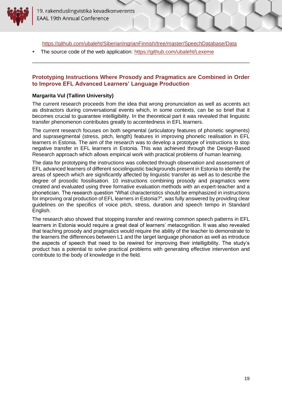

<https://github.com/ubaleht/SiberianIngrianFinnish/tree/master/SpeechDatabase/Data>

\_\_\_\_\_\_\_\_\_\_\_\_\_\_\_\_\_\_\_\_\_\_\_\_\_\_\_\_\_\_\_\_\_\_\_\_\_\_\_\_\_\_\_\_\_\_\_\_\_\_\_\_\_\_\_\_\_\_\_\_\_\_\_\_\_\_\_\_\_\_\_\_\_\_\_

The source code of the web application:<https://github.com/ubaleht/Lexeme>

#### <span id="page-18-0"></span>**Prototyping Instructions Where Prosody and Pragmatics are Combined in Order to Improve EFL Advanced Learners' Language Production**

#### <span id="page-18-1"></span>**Margarita Vul (Tallinn University)**

The current research proceeds from the idea that wrong pronunciation as well as accents act as distractors during conversational events which, in some contexts, can be so brief that it becomes crucial to guarantee intelligibility. In the theoretical part it was revealed that linguistic transfer phenomenon contributes greatly to accentedness in EFL learners.

The current research focuses on both segmental (articulatory features of phonetic segments) and suprasegmental (stress, pitch, length) features in improving phonetic realisation in EFL learners in Estonia. The aim of the research was to develop a prototype of instructions to stop negative transfer in EFL learners in Estonia. This was achieved through the Design-Based Research approach which allows empirical work with practical problems of human learning.

The data for prototyping the instructions was collected through observation and assessment of EFL advanced learners of different sociolinguistic backgrounds present in Estonia to identify the areas of speech which are significantly affected by linguistic transfer as well as to describe the degree of prosodic fossilisation. 10 instructions combining prosody and pragmatics were created and evaluated using three formative evaluation methods with an expert-teacher and a phonetician. The research question "What characteristics should be emphasized in instructions for improving oral production of EFL learners in Estonia?", was fully answered by providing clear guidelines on the specifics of voice pitch, stress, duration and speech tempo in Standard English.

The research also showed that stopping transfer and rewiring common speech patterns in EFL learners in Estonia would require a great deal of learners' metacognition. It was also revealed that teaching prosody and pragmatics would require the ability of the teacher to demonstrate to the learners the differences between L1 and the target language phonation as well as introduce the aspects of speech that need to be rewired for improving their intelligibility. The study's product has a potential to solve practical problems with generating effective intervention and contribute to the body of knowledge in the field.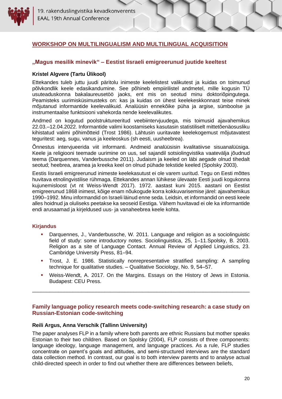#### <span id="page-19-0"></span>**WORKSHOP ON MULTILINGUALISM AND MULTILINGUAL ACQUISITION**

#### <span id="page-19-1"></span>**"Magus mesilik minevik" – Eestist Iisraeli emigreerunud juutide keeltest**

#### <span id="page-19-2"></span>**Kristel Algvere (Tartu Ülikool)**

Ettekandes tuleb juttu juudi päritolu inimeste keelelistest valikutest ja kuidas on toimunud põlvkondlik keele edasikandumine. See põhineb empiirilistel andmetel, mille kogusin TÜ usuteaduskonna bakalaureusetöö jaoks, ent mis on seotud minu doktoriõpingutega. Peamisteks uurimisküsimusteks on: kas ja kuidas on ühest keelekeskkonnast teise minek mõjutanud informantide keelevalikuid. Analüüsin ennekõike püha ja argise, sümboolse ja instrumentaalse funktsiooni vahekorda nende keelevalikutes.

Andmed on kogutud poolstruktureeritud veebiintervjuudega, mis toimusid ajavahemikus 22.03.–12.04.2022. Informantide valimi koostamiseks kasutasin statistiliselt mittetõenäosusliku kihistatud valimi põhimõtteid (Trost 1986). Lähtusin uuritavate keelekogemust mõjutavatest teguritest: aeg, sugu, vanus ja keeleoskus (sh eesti, uusheebrea).

Õnnestus intervjueerida viit informanti. Andmeid analüüsisin kvalitatiivse sisuanalüüsiga. Keele ja religiooni teemade uurimine on uus, sel sajandil sotsiolingvistika vaatevälja jõudnud teema (Darquennes, Vanderbussche 2011). Judaism ja keeled on läbi aegade olnud tihedalt seotud; heebrea, aramea ja kreeka keel on olnud pühade tekstide keeled (Spolsky 2003).

Eestis Iisraeli emigreerunud inimeste keelekasutust ei ole varem uuritud. Tegu on Eesti mõttes huvitava etnolingvistilise rühmaga. Ettekandes annan lühikese ülevaate Eesti juudi kogukonna kujunemisloost (vt nt Weiss-Wendt 2017). 1972. aastast kuni 2015. aastani on Eestist emigreerunud 1868 inimest, kõige enam nõukogude korra kokkuvarisemise järel: ajavahemikus 1990–1992. Minu informandid on Israeli läinud enne seda. Leidsin, et informandid on eesti keele alles hoidnud ja oluliseks peetakse ka seoseid Eestiga. Vähem huvitavad ei ole ka informantide endi arusaamad ja kirjeldused uus- ja vanaheebrea keele kohta.

#### **Kirjandus**

- Darquennes, J., Vanderbussche, W. 2011. Language and religion as a sociolinguistic field of study: some introductory notes. Sociolinguistica, 25, 1–11.Spolsky, B. 2003. Religion as a site of Language Contact. Annual Review of Applied Linguistics, 23. Cambridge University Press, 81–94.
- Trost, J. E. 1986. Statistically nonrepresentative stratified sampling: A sampling technique for qualitative studies. – Qualitative Sociology, No. 9, 54–57.
- Weiss-Wendt, A. 2017. On the Margins. Essays on the History of Jews in Estonia. Budapest: CEU Press.

#### <span id="page-19-3"></span>**Family language policy research meets code-switching research: a case study on Russian-Estonian code-switching**

\_\_\_\_\_\_\_\_\_\_\_\_\_\_\_\_\_\_\_\_\_\_\_\_\_\_\_\_\_\_\_\_\_\_\_\_\_\_\_\_\_\_\_\_\_\_\_\_\_\_\_\_\_\_\_\_\_\_\_\_\_\_\_\_\_\_\_\_\_\_\_\_\_\_\_

#### <span id="page-19-4"></span>**Reili Argus, Anna Verschik (Tallinn University)**

The paper analyses FLP in a family where both parents are ethnic Russians but mother speaks Estonian to their two children. Based on Spolsky (2004), FLP consists of three components: language ideology, language management, and language practices. As a rule, FLP studies concentrate on parent's goals and attitudes, and semi-structured interviews are the standard data collection method. In contrast, our goal is to both interview parents and to analyse actual child-directed speech in order to find out whether there are differences between beliefs,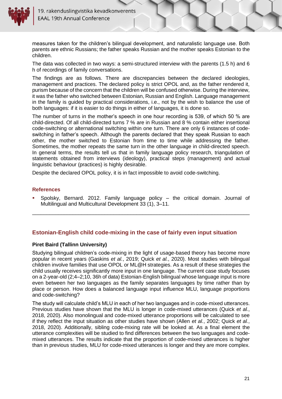

measures taken for the children's bilingual development, and naturalistic language use. Both parents are ethnic Russians; the father speaks Russian and the mother speaks Estonian to the children.

The data was collected in two ways: a semi-structured interview with the parents (1.5 h) and 6 h of recordings of family conversations.

The findings are as follows. There are discrepancies between the declared ideologies, management and practices. The declared policy is strict OPOL and, as the father rendered it, purism because of the concern that the children will be confused otherwise. During the interview, it was the father who switched between Estonian, Russian and English. Language management in the family is guided by practical considerations, i.e., not by the wish to balance the use of both languages: if it is easier to do things in either of languages, it is done so.

The number of turns in the mother's speech in one hour recording is 539, of which 50 % are child-directed. Of all child-directed turns 7 % are in Russian and 8 % contain either insertional code-switching or alternational switching within one turn. There are only 6 instances of codeswitching in father's speech. Although the parents declared that they speak Russian to each other, the mother switched to Estonian from time to time while addressing the father. Sometimes, the mother repeats the same turn in the other language in child-directed speech. In general terms, the results tell us that in family language policy research, triangulation of statements obtained from interviews (ideology), practical steps (management) and actual linguistic behaviour (practices) is highly desirable.

Despite the declared OPOL policy, it is in fact impossible to avoid code-switching.

#### **References**

<span id="page-20-0"></span>Spolsky, Bernard. 2012. Family language policy  $-$  the critical domain. Journal of Multilingual and Multicultural Development 33 (1), 3–11.

\_\_\_\_\_\_\_\_\_\_\_\_\_\_\_\_\_\_\_\_\_\_\_\_\_\_\_\_\_\_\_\_\_\_\_\_\_\_\_\_\_\_\_\_\_\_\_\_\_\_\_\_\_\_\_\_\_\_\_\_\_\_\_\_\_\_\_\_\_\_\_\_\_\_\_

#### **Estonian-English child code-mixing in the case of fairly even input situation**

#### <span id="page-20-1"></span>**Piret Baird (Tallinn University)**

Studying bilingual children's code-mixing in the light of usage-based theory has become more popular in recent years (Gaskins *et al.*, 2019; Quick *et al.*, 2020). Most studies with bilingual children involve families that use OPOL or ML@H strategies. As a result of these strategies the child usually receives significantly more input in one language. The current case study focuses on a 2-year-old (2;4–2;10, 36h of data) Estonian-English bilingual whose language input is more even between her two languages as the family separates languages by time rather than by place or person. How does a balanced language input influence MLU, language proportions and code-switching?

The study will calculate child's MLU in each of her two languages and in code-mixed utterances. Previous studies have shown that the MLU is longer in code-mixed utterances (Quick *et al.*, 2018, 2020). Also monolingual and code-mixed utterance proportions will be calculated to see if they reflect the input situation as other studies have shown (Allen *et al.*, 2002; Quick *et al.*, 2018, 2020). Additionally, sibling code-mixing rate will be looked at. As a final element the utterance complexities will be studied to find differences between the two languages and codemixed utterances. The results indicate that the proportion of code-mixed utterances is higher than in previous studies, MLU for code-mixed utterances is longer and they are more complex.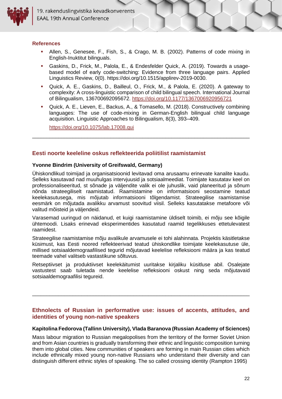

19. rakenduslingvistika kevadkonverents **EAAL 19th Annual Conference** 

#### **References**

- **E** Allen, S., Genesee, F., Fish, S., & Crago, M. B. (2002). Patterns of code mixing in English-Inuktitut bilinguals.
- Gaskins, D., Frick, M., Palola, E., & Endesfelder Quick, A. (2019). Towards a usagebased model of early code-switching: Evidence from three language pairs. Applied Linguistics Review, 0(0). https://doi.org/10.1515/applirev-2019-0030.
- Quick, A. E., Gaskins, D., Bailleul, O., Frick, M., & Palola, E. (2020). A gateway to complexity: A cross-linguistic comparison of child bilingual speech. International Journal of Bilingualism, 136700692095672. <https://doi.org/10.1177/1367006920956721>
- Quick, A. E., Lieven, E., Backus, A., & Tomasello, M. (2018). Constructively combining languages: The use of code-mixing in German-English bilingual child language acquisition. Linguistic Approaches to Bilingualism, 8(3), 393–409.

\_\_\_\_\_\_\_\_\_\_\_\_\_\_\_\_\_\_\_\_\_\_\_\_\_\_\_\_\_\_\_\_\_\_\_\_\_\_\_\_\_\_\_\_\_\_\_\_\_\_\_\_\_\_\_\_\_\_\_\_\_\_\_\_\_\_\_\_\_\_\_\_\_\_\_

<span id="page-21-0"></span><https://doi.org/10.1075/lab.17008.qui>

#### **Eesti noorte keeleline oskus reflekteerida poliitilist raamistamist**

#### <span id="page-21-1"></span>**Yvonne Bindrim (University of Greifswald, Germany)**

Ühiskondlikud toimijad ja organisatsioonid levitavad oma arusaamu erinevate kanalite kaudu. Selleks kasutavad nad muuhulgas intervjuusid ja sotsiaalmeediat. Toimijate kasutatav keel on professionaliseeritud, st sõnade ja väljendite valik ei ole juhuslik, vaid planeeritud ja sõnum nõnda strateegiliselt raamistatud. Raamistamine on informatsiooni seostamine teatud keelekasutusega, mis mõjutab informatsiooni tõlgendamist. Strateegilise raamistamise eesmärk on mõjutada avalikku arvamust soovitud viisil. Selleks kasutatakse metafoore või valitud mõisteid ja väljendeid.

Varasemad uuringud on näidanud, et kuigi raamistamine üldiselt toimib, ei mõju see kõigile ühtemoodi. Lisaks erinevad eksperimentides kasutatud raamid tegelikkuses ettetulevatest raamidest.

Strateegilise raamistamise mõju avalikule arvamusele ei tohi alahinnata. Projektis käsitletakse küsimust, kas Eesti noored reflekteerivad teatud ühiskondlike toimijate keelekasutuse üle, millised sotsiaaldemograafilised tegurid mõjutavad keelelise refleksiooni määra ja kas teatud teemade vahel valitseb vastastikune sõltuvus.

Retseptiivset ja produktiivset keelekäitumist uuritakse kirjaliku küsitluse abil. Osalejate vastustest saab tuletada nende keelelise refleksiooni oskust ning seda mõjutavaid sotsiaaldemograafilisi tegureid.

#### <span id="page-21-2"></span>**Ethnolects of Russian in performative use: issues of accents, attitudes, and identities of young non-native speakers**

\_\_\_\_\_\_\_\_\_\_\_\_\_\_\_\_\_\_\_\_\_\_\_\_\_\_\_\_\_\_\_\_\_\_\_\_\_\_\_\_\_\_\_\_\_\_\_\_\_\_\_\_\_\_\_\_\_\_\_\_\_\_\_\_\_\_\_\_\_\_\_\_\_\_\_

#### <span id="page-21-3"></span>**Kapitolina Fedorova (Tallinn University), Vlada Baranova (Russian Academy of Sciences)**

Mass labour migration to Russian megalopolises from the territory of the former Soviet Union and from Asian countries is gradually transforming their ethnic and linguistic composition turning them into global cities. New communities of speakers are forming in main Russian cities which include ethnically mixed young non-native Russians who understand their diversity and can distinguish different ethnic styles of speaking. The so called crossing identity (Rampton 1995)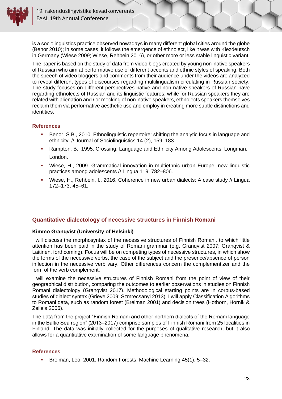is a sociolinguistics practice observed nowadays in many different global cities around the globe (Benor 2010); in some cases, it follows the emergence of ethnolect, like it was with Kiezdeutsch in Germany (Wiese 2009; Wiese, Rehbein 2016), or other more or less stable linguistic variant.

The paper is based on the study of data from video blogs created by young non-native speakers of Russian who aim at performative use of different accents and ethnic styles of speaking. Both the speech of video bloggers and comments from their audience under the videos are analyzed to reveal different types of discourses regarding multilingualism circulating in Russian society. The study focuses on different perspectives native and non-native speakers of Russian have regarding ethnolects of Russian and its linguistic features: while for Russian speakers they are related with alienation and / or mocking of non-native speakers, ethnolects speakers themselves reclaim them via performative aesthetic use and employ in creating more subtle distinctions and identities.

#### **References**

- Benor, S.B., 2010. Ethnolinguistic repertoire: shifting the analytic focus in language and ethnicity. // Journal of Sociolinguistics 14 (2), 159–183.
- Rampton, B., 1995. Crossing: Language and Ethnicity Among Adolescents. Longman, London.
- Wiese, H., 2009. Grammatical innovation in multiethnic urban Europe: new linguistic practices among adolescents // Lingua 119, 782–806.
- Wiese, H., Rehbein, I., 2016. Coherence in new urban dialects: A case study // Lingua 172–173, 45–61.

\_\_\_\_\_\_\_\_\_\_\_\_\_\_\_\_\_\_\_\_\_\_\_\_\_\_\_\_\_\_\_\_\_\_\_\_\_\_\_\_\_\_\_\_\_\_\_\_\_\_\_\_\_\_\_\_\_\_\_\_\_\_\_\_\_\_\_\_\_\_\_\_\_\_\_

#### <span id="page-22-0"></span>**Quantitative dialectology of necessive structures in Finnish Romani**

#### <span id="page-22-1"></span>**Kimmo Granqvist (University of Helsinki)**

I will discuss the morphosyntax of the necessive structures of Finnish Romani, to which little attention has been paid in the study of Romani grammar (e.g. Granqvist 2007; Granqvist & Laitinen, forthcoming). Focus will be on competing types of necessive structures, in which show the forms of the necessive verbs, the case of the subject and the presence/absence of person inflection in the necessive verb vary. Other differences concern the complementizer and the form of the verb complement.

I will examine the necessive structures of Finnish Romani from the point of view of their geographical distribution, comparing the outcomes to earlier observations in studies on Finnish Romani dialectology (Granqvist 2017). Methodological starting points are in corpus-based studies of dialect syntax (Grieve 2009; Szmrecsanyi 2013). I will apply Classification Algorithms to Romani data, such as random forest (Breiman 2001) and decision trees (Hothorn, Hornik & Zeileis 2006).

The data from the project "Finnish Romani and other northern dialects of the Romani language in the Baltic Sea region" (2013–2017) comprise samples of Finnish Romani from 25 localities in Finland. The data was initially collected for the purposes of qualitative research, but it also allows for a quantitative examination of some language phenomena.

#### **References**

▪ Breiman, Leo. 2001. Random Forests. Machine Learning 45(1), 5–32.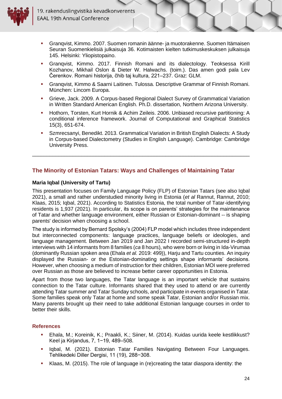

- Granqvist, Kimmo. 2007. Suomen romanin äänne- ja muotorakenne. Suomen Itämaisen Seuran Suomenkielisiä julkaisuja 36. Kotimaisten kielten tutkimuskeskuksen julkaisuja 145. Helsinki: Yliopistopaino.
- Granqvist, Kimmo. 2017. Finnish Romani and its dialectology. Teoksessa Kirill Kozhanov, Mikhail Oslon & Dieter W. Halwachs. (toim.). Das amen godi pala Lev Čerenkov. Romani historija, čhib taj kultura, 221–237. Graz: GLM.
- Granqvist, Kimmo & Saarni Laitinen. Tulossa. Descriptive Grammar of Finnish Romani. München: Lincom Europa.
- Grieve, Jack. 2009. A Corpus-based Regional Dialect Survey of Grammatical Variation in Written Standard American English. Ph.D. dissertation, Northern Arizona University.
- Hothorn, Torsten, Kurt Hornik & Achim Zeileis. 2006. Unbiased recursive partitioning: A conditional inference framework. Journal of Computational and Graphical Statistics 15(3), 651-674.
- <span id="page-23-0"></span>Szmrecsanyi, Benedikt. 2013. Grammatical Variation in British English Dialects: A Study in Corpus-based Dialectometry (Studies in English Language). Cambridge: Cambridge University Press.

\_\_\_\_\_\_\_\_\_\_\_\_\_\_\_\_\_\_\_\_\_\_\_\_\_\_\_\_\_\_\_\_\_\_\_\_\_\_\_\_\_\_\_\_\_\_\_\_\_\_\_\_\_\_\_\_\_\_\_\_\_\_\_\_\_\_\_\_\_\_\_\_\_\_\_

#### **The Minority of Estonian Tatars: Ways and Challenges of Maintaining Tatar**

#### <span id="page-23-1"></span>**Maria Iqbal (University of Tartu)**

This presentation focuses on Family Language Policy (FLP) of Estonian Tatars (see also Iqbal 2021), a small and rather understudied minority living in Estonia (*et al* Rannut, Rannut, 2010; Klaas, 2015; Iqbal, 2021). According to Statistics Estonia, the total number of Tatar-identifying residents is 1,937 (2021). In particular, its scope is on parents' strategies for the maintenance of Tatar and whether language environment, either Russian or Estonian-dominant -- is shaping parents' decision when choosing a school.

The study is informed by Bernard Spolsky's (2004) FLP model which includes three independent but interconnected components: language practices, language beliefs or ideologies, and language management. Between Jan 2019 and Jan 2022 I recorded semi-structured in-depth interviews with 14 informants from 8 families (*ca* 8 hours), who were born or living in Ida-Virumaa (dominantly Russian spoken area (Ehala *et al.* 2019: 499)), Harju and Tartu counties. An inquiry displayed the Russian- or the Estonian-dominating settings shape informants' decisions. However, when choosing a medium of instruction for their children, Estonian MOI were preferred over Russian as those are believed to increase better career opportunities in Estonia.

Apart from those two languages, the Tatar language is an important vehicle that sustains connection to the Tatar culture. Informants shared that they used to attend or are currently attending Tatar summer and Tatar Sunday schools, and participate in events organised in Tatar. Some families speak only Tatar at home and some speak Tatar, Estonian and/or Russian mix. Many parents brought up their need to take additional Estonian language courses in order to better their skills.

#### **References**

- Ehala, M.; Koreinik, K.; Praakli, K.; Siiner, M. (2014). Kuidas uurida keele kestlikkust? Keel ja Kirjandus, 7, 1−19, 489–508.
- Iqbal, M. (2021). Estonian Tatar Families Navigating Between Four Languages. Tehlikedeki Diller Dergisi, 11 (19), 288−308.
- Klaas, M. (2015). The role of language in (re)creating the tatar diaspora identity: the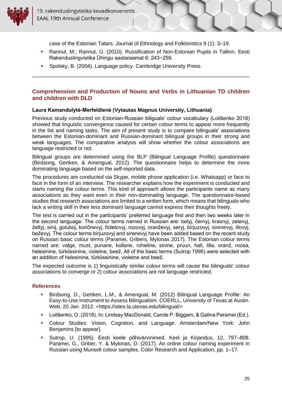

case of the Estonian Tatars. Journal of Ethnology and Folkloristics 9 (1): 3–19.

- Rannut, M.; Rannut, Ü. (2010). Russification of Non-Estonian Pupils in Tallinn. Eesti Rakenduslingvistika Ühingu aastaraamat 6: 243−259.
- Spolsky, B. (2004). Language policy. Cambridge University Press.

#### <span id="page-24-0"></span>**Comprehension and Production of Nouns and Verbs in Lithuanian TD children and children with DLD**

\_\_\_\_\_\_\_\_\_\_\_\_\_\_\_\_\_\_\_\_\_\_\_\_\_\_\_\_\_\_\_\_\_\_\_\_\_\_\_\_\_\_\_\_\_\_\_\_\_\_\_\_\_\_\_\_\_\_\_\_\_\_\_\_\_\_\_\_\_\_\_\_\_\_\_

#### <span id="page-24-1"></span>**Laura Kamandulytė-Merfeldienė (Vytautas Magnus University, Lithuania)**

Previous study conducted on Estonian-Russian biliguals' colour vocabulary (Loitšenko 2018) showed that linguistic convergence caused for certain colour terms to appear more frequently in the list and naming tasks. The aim of present study is to compare bilinguals' associations between the Estonian-dominant and Russian-dominant bilingual groups in their strong and weak languages. The comparative analysis will show whether the colour associations are language restricted or not.

Bilingual groups are determined using the BLP (Bilingual Language Profile) questionnaire (Birdsong, Gertken, & Amengual, 2012). The questionnaire helps to determine the more dominating language based on the self-reported data.

The procedures are conducted via Skype, mobile phone application (i.e. Whatsapp) or face to face in the form of an interview. The researcher explains how the experiment is conducted and starts naming the colour terms. This kind of approach allows the participants name as many associations as they want even in their non-dominating language. The questionnaire-based studies that research associations are limited to a written form, which means that bilinguals who lack a writing skill in their less dominant language cannot express their thoughts freely.

The test is carried out in the participants' preferred language first and then two weeks later in the second language. The colour terms named in Russian are: belyj, černyj, krasnyj, zelenyj, želtyj, sinij, goluboj, koričnevyj, fioletovyj, rozovyj, oranževyj, seryj, birjuzovyj, sirenevyj, lilovyj, beževyj. The colour terms birjuzovyj and sirenevyj have been added based on the recent study on Russian basic colour terms (Paramei, Gribers, Mylonas 2017). The Estonian colour terms named are: valge, must, punane, kollane, roheline, sinine, pruun, hall, lilla, oranž, roosa, helesinine, türkiissinine, violetne, beež. All of the basic terms (Sutrop 1995) were selected with an addition of helesinine, türkiissinine, violetne and beež.

The expected outcome is 1) linguistically similar colour terms will cause the bilinguals' colour associations to converge or 2) colour associations are not language restricted.

#### **References**

- Birdsong, D., Gertken, L.M., & Amengual, M. (2012) Bilingual Language Profile: An Easy-to-Use Instrument to Assess Bilingualism. COERLL, University of Texas at Austin. Web. 20 Jan. 2012. <https://sites.la.utexas.edu/bilingual/>
- Loitšenko, O. (2018). In: Lindsay MacDonald, Carole P. Biggam, & Galina Paramei (Ed.).
- Colour Studies: Vision, Cognition, and Language. Amsterdam/New York: John Benjamins [to appear].
- Sutrop, U. (1995). Eesti keele põhivärvinimed. Keel ja Kirjandus, 12, 797–808. Paramei, G., Griber, Y. & Mylonas, D. (2017). An online colour naming experiment in Russian using Munsell colour samples. Color Research and Application, pp. 1–17.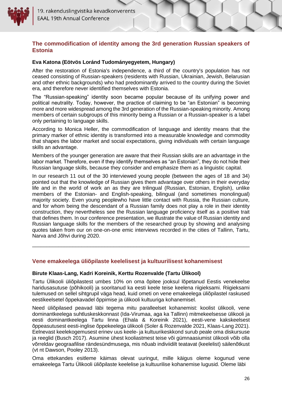#### <span id="page-25-0"></span>**The commodification of identity among the 3rd generation Russian speakers of Estonia**

#### <span id="page-25-1"></span>**Eva Katona (Eötvös Loránd Tudományegyetem, Hungary)**

After the restoration of Estonia's independence, a third of the country's population has not ceased consisting of Russian-speakers (residents with Russian, Ukrainian, Jewish, Belarusian and other ethnic backgrounds) who had predominantly arrived to the country during the Soviet era, and therefore never identified themselves with Estonia.

The "Russian-speaking" identity soon became popular because of its unifying power and political neutrality. Today, however, the practice of claiming to be "an Estonian" is becoming more and more widespread among the 3rd generation of the Russian-speaking minority. Among members of certain subgroups of this minority being a Russian or a Russian-speaker is a label only pertaining to language skills.

According to Monica Heller, the commodification of language and identity means that the primary marker of ethnic identity is transformed into a measurable knowledge and commodity that shapes the labor market and social expectations, giving individuals with certain language skills an advantage.

Members of the younger generation are aware that their Russian skills are an advantage in the labor market. Therefore, even if they identify themselves as "an Estonian", they do not hide their Russian language skills, because they consider and emphasize them as a linguistic capital.

In our research 11 out of the 30 interviewed young people (between the ages of 18 and 34) pointed out that the knowledge of Russian gives them advantage over others in their everyday life and in the world of work an as they are trilingual (Russian, Estonian, English), unlike members of the Estonian- and English-speaking, bilingual (and sometimes monolingual) majority society. Even young peoplewho have little contact with Russia, the Russian culture, and for whom being the descendant of a Russian family does not play a role in their identity construction, they nevertheless see the Russian language proficiency itself as a positive trait that defines them. In our conference presentation, we illustrate the value of Russian identity and Russian language skills for the members of the researched group by showing and analysing quotes taken from our on one-on-one emic interviews recorded in the cities of Tallinn, Tartu, Narva and Jõhvi during 2020.

\_\_\_\_\_\_\_\_\_\_\_\_\_\_\_\_\_\_\_\_\_\_\_\_\_\_\_\_\_\_\_\_\_\_\_\_\_\_\_\_\_\_\_\_\_\_\_\_\_\_\_\_\_\_\_\_\_\_\_\_\_\_\_\_\_\_\_\_\_\_\_\_\_\_\_

#### <span id="page-25-2"></span>**Vene emakeelega üliõpilaste keelelisest ja kultuurilisest kohanemisest**

#### <span id="page-25-3"></span>**Birute Klaas-Lang, Kadri Koreinik, Kerttu Rozenvalde (Tartu Ülikool)**

Tartu Ülikooli üliõpilastest umbes 10% on oma õpitee jooksul lõpetanud Eestis venekeelse haridusasutuse (põhikooli) ja sooritanud ka eesti keele teise keelena riigieksami. Riigieksami tulemused on sellel sihtgrupil väga head, kuid ometi on vene emakeelega üliõpilastel raskused eestikeelsetel õppekavadel õppimise ja ülikooli kultuuriga kohanemisel.

Need üliõpilased peavad läbi tegema mitu paralleelset kohanemist: koolist ülikooli, vene dominantkeelega suhtluskeskkonnast (Ida-Virumaa, aga ka Tallinn) mitmekeelsesse ülikooli ja eesti dominantkeelega Tartu linna (Ehala & Koreinik 2021), eesti-vene kakskeelsest õppeasutusest eesti-inglise õppekeelega ülikooli (Soler & Rozenvalde 2021, Klaas-Lang 2021). Eelnevast keelekogemusest erinev uus keele- ja kultuurikeskkond surub peale oma diskursuse ja reeglid (Busch 2017). Asumine ühest kooliastmest teise või gümnaasiumist ülikooli võib olla võrreldav geograafilise rändesündmusega, mis nõuab indiviidilt teatavat (keelelist) säilenõtkust (vt nt Dawson, Pooley 2013).

Oma ettekandes esitleme käimas olevat uuringut, mille käigus oleme kogunud vene emakeelega Tartu Ülikooli üliõpilaste keelelise ja kultuurilise kohanemise lugusid. Oleme läbi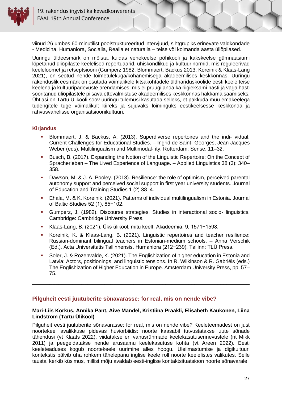

Uuringu üldeesmärk on mõista, kuidas venekeelse põhikooli ja kakskeelse gümnaasiumi lõpetanud üliõpilaste keelelised repertuaarid, ühiskondlikud ja kultuurinormid, mis reguleerivad keeleloomet ja retseptsiooni (Gumperz 1982, Blommaert, Backus 2013, Koreinik & Klaas-Lang 2021), on seotud nende toimetulekuga/kohanemisega akadeemilises keskkonnas. Uuringu rakenduslik eesmärk on osutada võimalikele kitsakohtadele üldhariduskoolide eesti keele teise keelena ja kultuuripädevuste arendamises, mis ei pruugi anda ka riigieksami hästi ja väga hästi sooritanud üliõpilastele piisava ettevalmistuse akadeemilises keskkonnas hakkama saamiseks. Ühtlasi on Tartu Ülikooli soov uuringu tulemusi kasutada selleks, et pakkuda muu emakeelega tudengitele tuge võimalikult kiireks ja sujuvaks lõiminguks eestikeelsesse keskkonda ja rahvusvahelisse organisatsioonikultuuri.

#### **Kirjandus**

- Blommaert, J. & Backus, A. (2013). Superdiverse repertoires and the indi- vidual. Current Challenges for Educational Studies. – Ingrid de Saint- Georges, Jean Jacques Weber (eds), Multilingualism and Multimodal- ity. Rotterdam: Sense, 11–32.
- Busch, B. (2017). Expanding the Notion of the Linguistic Repertoire: On the Concept of Spracherleben – The Lived Experience of Language. – Applied Linguistics 38 (3): 340– 358.
- **•** Dawson, M. & J. A. Pooley. (2013). Resilience: the role of optimism, perceived parental autonomy support and perceived social support in first year university students. Journal of Education and Training Studies 1 (2) 38–4.
- **Ehala, M. & K. Koreinik. (2021). Patterns of individual multilingualism in Estonia. Journal** of Baltic Studies 52 (1), 85−102.
- Gumperz, J. (1982). Discourse strategies. Studies in interactional socio- linguistics. Cambridge: Cambridge University Press.
- Klaas-Lang, B. (2021). Üks ülikool, mitu keelt. Akadeemia, 9, 1571−1598.
- Koreinik, K. & Klaas-Lang, B. (2021). Linguistic repertoires and teacher resilience: Russian-dominant bilingual teachers in Estonian-medium schools. – Anna Verschik (Ed.). Acta Universitatis Tallinnensis. Humaniora (212−239). Tallinn: TLÜ Press.
- <span id="page-26-0"></span>Soler, J. & Rozenvalde, K. (2021). The Englishization of higher education in Estonia and Latvia: Actors, positionings, and linguistic tensions. In R. Wilkinson & R. Gabriëls (eds.) The Englishization of Higher Education in Europe. Amsterdam University Press, pp. 57– 75.

#### **Pilguheit eesti juutuberite sõnavarasse: for real, mis on nende vibe?**

#### <span id="page-26-1"></span>**Mari-Liis Korkus, Annika Pant, Aive Mandel, Kristiina Praakli, Elisabeth Kaukonen, Liina Lindström (Tartu Ülikool)**

\_\_\_\_\_\_\_\_\_\_\_\_\_\_\_\_\_\_\_\_\_\_\_\_\_\_\_\_\_\_\_\_\_\_\_\_\_\_\_\_\_\_\_\_\_\_\_\_\_\_\_\_\_\_\_\_\_\_\_\_\_\_\_\_\_\_\_\_\_\_\_\_\_\_\_

Pilguheit eesti juutuberite sõnavarasse: for real, mis on nende vibe? Keeleteemadest on just noortekeel avalikkuse pidevas huviorbiidis: noorte kaasabil tutvustatakse uute sõnade tähendusi (vt Klaats 2022), viidatakse eri vanusrühmade keelekasutuserinevustele (nt Mikk 2011) ja peegeldatakse nende arusaamu keelekasutuse kohta (vt Areen 2022). Eesti keeleteaduses kogub noortekeele uurimine alles hoogu. Üleilmastumise ja digikultuuri kontekstis pälvib üha rohkem tähelepanu inglise keele roll noorte keelelistes valikutes. Selle taustal kerkib küsimus, millist mõju avaldab eesti-inglise kontaktsituatsioon noorte sõnavarale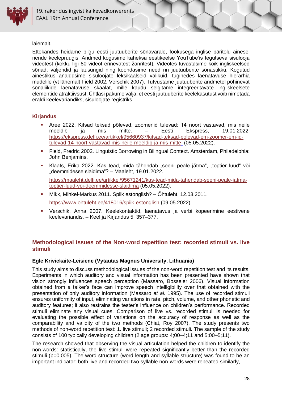

laiemalt.

Ettekandes heidame pilgu eesti juutuuberite sõnavarale, fookusega inglise päritolu ainesel nende keelepruugis. Andmed kogusime kaheksa eestikeelse YouTube'is tegutseva sisulooja videotest (kokku ligi 80 videot erinevatest žanritest). Videotes tuvastasime kõik ingliskeelsed sõnad, väljendid ja lausungid ning koondasime need nn juutuuberite sõnastikku. Kogutud ainestikus analüüsime sisuloojate leksikaalseid valikuid, tuginedes laenatavuse hierarhia mudelile (vt lähemalt Field 2002, Verschik 2007). Tutvustame juutuuberite andmetel põhinevat sõnaliikide laenatavuse skaalat, mille kaudu selgitame integreeritavate ingliskeelsete elementide atraktiivsust. Ühtlasi pakume välja, et eesti juutuuberite keelekasutust võib nimetada eraldi keelevariandiks, sisuloojate registriks.

#### **Kirjandus**

- Aree 2022. Kitsad teksad põlevad, zoomer'id tulevad: 14 noort vastavad, mis neile meeldib ja mis mitte. – Eesti Ekspress, 19.01.2022. [https://ekspress.delfi.ee/artikkel/95660937/kitsad-teksad-polevad-em-zoomer-em-id](https://ekspress.delfi.ee/artikkel/95660937/kitsad-teksad-polevad-em-zoomer-em-id-tulevad-14-noort-vastavad-mis-neile-meeldib-ja-mis-mitte)[tulevad-14-noort-vastavad-mis-neile-meeldib-ja-mis-mitte](https://ekspress.delfi.ee/artikkel/95660937/kitsad-teksad-polevad-em-zoomer-em-id-tulevad-14-noort-vastavad-mis-neile-meeldib-ja-mis-mitte) (05.05.2022).
- Field, Fredric 2002. Linguistic Borrowing in Bilingual Context. Amsterdam, Philadelphia: John Benjamins.
- Klaats, Erika 2022. Kas tead, mida tähendab "seeni peale jätma", "toptier luud" või "deemmidesse slaidima"? – Maaleht, 19.01.2022.

[https://maaleht.delfi.ee/artikkel/95671241/kas-tead-mida-tahendab-seeni-peale-jatma](https://maaleht.delfi.ee/artikkel/95671241/kas-tead-mida-tahendab-seeni-peale-jatma-toptier-luud-voi-deemmidesse-slaidima)[toptier-luud-voi-deemmidesse-slaidima](https://maaleht.delfi.ee/artikkel/95671241/kas-tead-mida-tahendab-seeni-peale-jatma-toptier-luud-voi-deemmidesse-slaidima) (05.05.2022).

- Mikk, Mihkel-Markus 2011. Spiik estonglish? Õhtuleht, 12.03.2011. <https://www.ohtuleht.ee/418016/spiik-estonglish> (09.05.2022).
- Verschik, Anna 2007. Keelekontaktid, laenatavus ja verbi kopeerimine eestivene keelevariandis. – Keel ja Kirjandus 5, 357–377.

#### <span id="page-27-0"></span>**Methodological issues of the Non-word repetition test: recorded stimuli vs. live stimuli**

\_\_\_\_\_\_\_\_\_\_\_\_\_\_\_\_\_\_\_\_\_\_\_\_\_\_\_\_\_\_\_\_\_\_\_\_\_\_\_\_\_\_\_\_\_\_\_\_\_\_\_\_\_\_\_\_\_\_\_\_\_\_\_\_\_\_\_\_\_\_\_\_\_\_\_

#### <span id="page-27-1"></span>**Egle Krivickaite-Leisiene (Vytautas Magnus University, Lithuania)**

This study aims to discuss methodological issues of the non-word repetition test and its results. Experiments in which auditory and visual information has been presented have shown that vision strongly influences speech perception (Massaro, Bosseler 2006). Visual information obtained from a talker's face can improve speech intelligibility over that obtained with the presentation of only auditory information (Massaro *et al.* 1995). The use of recorded stimuli ensures uniformity of input, eliminating variations in rate, pitch, volume, and other phonetic and auditory features; it also restrains the tester's influence on children's performance. Recorded stimuli eliminate any visual cues. Comparison of live vs. recorded stimuli is needed for evaluating the possible effect of variations on the accuracy of response as well as the comparability and validity of the two methods (Chiat, Roy 2007). The study presents two methods of non-word repetition test: 1. live stimuli; 2 recorded stimuli. The sample of the study consists of 100 typically developing children (2 age groups: 4;00–4;11 and 5;00–5;11).

The research showed that observing the visual articulation helped the children to identify the non-words: statistically, the live stimuli were repeated significantly better than the recorded stimuli (p=0.005). The word structure (word length and syllable structure) was found to be an important indicator: both live and recorded two syllable non-words were repeated similarly,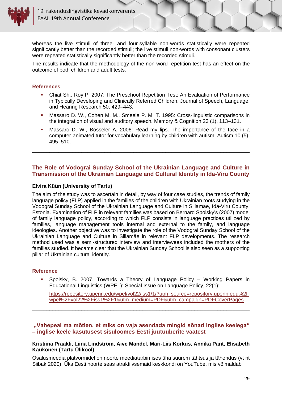

whereas the live stimuli of three- and four-syllable non-words statistically were repeated significantly better than the recorded stimuli; the live stimuli non-words with consonant clusters were repeated statistically significantly better than the recorded stimuli.

The results indicate that the methodology of the non-word repetition test has an effect on the outcome of both children and adult tests.

#### **References**

- Chiat Sh., Roy P. 2007: The Preschool Repetition Test: An Evaluation of Performance in Typically Developing and Clinically Referred Children. Journal of Speech, Language, and Hearing Research 50, 429–443.
- **Massaro D. W., Cohen M. M., Smeele P. M. T. 1995: Cross-linguistic comparisons in** the integration of visual and auditory speech. Memory & Cognition 23 (1), 113–131.
- Massaro D. W., Bosseler A. 2006: Read my lips. The importance of the face in a computer-animated tutor for vocabulary learning by children with autism. Autism 10 (5), 495–510.

#### **The Role of Vodograi Sunday School of the Ukrainian Language and Culture in Transmission of the Ukrainian Language and Cultural Identity in Ida-Viru County**

<span id="page-28-0"></span>\_\_\_\_\_\_\_\_\_\_\_\_\_\_\_\_\_\_\_\_\_\_\_\_\_\_\_\_\_\_\_\_\_\_\_\_\_\_\_\_\_\_\_\_\_\_\_\_\_\_\_\_\_\_\_\_\_\_\_\_\_\_\_\_\_\_\_\_\_\_\_\_\_\_\_

#### <span id="page-28-1"></span>**Elvira Küün (University of Tartu)**

The aim of the study was to ascertain in detail, by way of four case studies, the trends of family language policy (FLP) applied in the families of the children with Ukrainian roots studying in the Vodograi Sunday School of the Ukrainian Language and Culture in Sillamäe, Ida-Viru County, Estonia. Examination of FLP in relevant families was based on Bernard Spolsky's (2007) model of family language policy, according to which FLP consists in language practices utilized by families, language management tools internal and external to the family, and language ideologies. Another objective was to investigate the role of the Vodograi Sunday School of the Ukrainian Language and Culture in Sillamäe in relevant FLP developments. The research method used was a semi-structured interview and interviewees included the mothers of the families studied. It became clear that the Ukrainian Sunday School is also seen as a supporting pillar of Ukrainian cultural identity.

#### **Reference**

Spolsky, B. 2007. Towards a Theory of Language Policy – Working Papers in Educational Linguistics (WPEL): Special Issue on Language Policy, 22(1);

[https://repository.upenn.edu/wpel/vol22/iss1/1/?utm\\_source=repository.upenn.edu%2F](https://repository.upenn.edu/wpel/vol22/iss1/1/?utm_source=repository.upenn.edu%2Fwpel%2Fvol22%2Fiss1%2F1&utm_medium=PDF&utm_campaign=PDFCoverPages) [wpel%2Fvol22%2Fiss1%2F1&utm\\_medium=PDF&utm\\_campaign=PDFCoverPages](https://repository.upenn.edu/wpel/vol22/iss1/1/?utm_source=repository.upenn.edu%2Fwpel%2Fvol22%2Fiss1%2F1&utm_medium=PDF&utm_campaign=PDFCoverPages)

<span id="page-28-2"></span>**"Vahepeal ma mõtlen, et miks on vaja asendada mingid sõnad inglise keelega" – inglise keele kasutusest sisuloomes Eesti juutuuberite vaatest**

\_\_\_\_\_\_\_\_\_\_\_\_\_\_\_\_\_\_\_\_\_\_\_\_\_\_\_\_\_\_\_\_\_\_\_\_\_\_\_\_\_\_\_\_\_\_\_\_\_\_\_\_\_\_\_\_\_\_\_\_\_\_\_\_\_\_\_\_\_\_\_\_\_\_\_

#### <span id="page-28-3"></span>**Kristiina Praakli, Liina Lindström, Aive Mandel, Mari-Liis Korkus, Annika Pant, Elisabeth Kaukonen (Tartu Ülikool)**

Osalusmeedia platvormidel on noorte meediatarbimises üha suurem tähtsus ja tähendus (vt nt Siibak 2020). Üks Eesti noorte seas atraktiivsemaid keskkondi on YouTube, mis võimaldab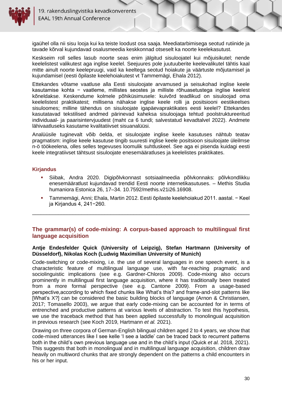

19. rakenduslingvistika kevadkonverents **EAAL 19th Annual Conference** 

igaühel olla nii sisu looja kui ka teiste loodust osa saaja. Meediatarbimisega seotud rutiinide ja tavade kõrval kujundavad osalusmeedia keskkonnad otseselt ka noorte keelekasutust.

Keskseim roll selles lasub noorte seas enim jälgitud sisuloojatel kui mõjuisikutel; nende keelelistest valikutest aga inglise keelel. Seejuures pole juutuuberite keelevalikutel tähtis kaal mitte ainult noorte keelepruugi, vaid ka keeltega seotud hoiakute ja väärtuste mõjutamisel ja kujundamisel (eesti õpilaste keelehoiakutest vt Tammemägi, Ehala 2012).

Ettekandes võtame vaatluse alla Eesti sisuloojate arvamused ja seisukohad inglise keele kasutamise kohta − vaatleme, millistes seostes ja milliste rõhuasetustega inglise keelest kõneldakse. Keskendume kolmele põhiküsimusele: kuivõrd teadlikud on sisuloojad oma keelelistest praktikatest; millisena nähakse inglise keele rolli ja positsiooni eestikeelses sisuloomes; milline tähendus on sisuloojate igapäevapraktikates eesti keelel? Ettekandes kasutatavad tekstilised andmed pärinevad kaheksa sisuloojaga tehtud poolstruktureeritud individuaal- ja paarisintervjuudest (maht *ca* 6 tundi; salvestatud kevadtalvel 2022). Andmete lähivaatluseks kasutame kvalitatiivset sisuanalüüsi.

Analüüsile tuginevalt võib öelda, et sisuloojate inglise keele kasutuses nähtub teatav pragmatism: inglise keele kasutuse tingib suuresti inglise keele positsioon sisuloojate üleilmse n-ö töökeelena, olles selles tegevuses loomulik suhtluskeel. See aga ei pisenda kuidagi eesti keele integratiivset tähtsust sisuloojate enesemääratluses ja keelelistes praktikates.

#### **Kirjandus**

- Siibak, Andra 2020. Digipõlvkonnast sotsiaalmeedia põlvkonnaks: põlvkondlikku enesemääratlust kujundavad trendid Eesti noorte internetikasutuses. – Methis Studia humaniora Estonica 26, 17–34. 10.7592/methis.v21i26.16908.
- Tammemägi, Anni; Ehala, Martin 2012. Eesti õpilaste keelehoiakud 2011. aastal. − Keel ja Kirjandus 4, 241−260.

#### <span id="page-29-0"></span>**The grammar(s) of code-mixing: A corpus-based approach to multilingual first language acquisition**

\_\_\_\_\_\_\_\_\_\_\_\_\_\_\_\_\_\_\_\_\_\_\_\_\_\_\_\_\_\_\_\_\_\_\_\_\_\_\_\_\_\_\_\_\_\_\_\_\_\_\_\_\_\_\_\_\_\_\_\_\_\_\_\_\_\_\_\_\_\_\_\_\_\_\_

#### <span id="page-29-1"></span>**Antje Endesfelder Quick (University of Leipzig), Stefan Hartmann (University of Düsseldorf), Nikolas Koch (Ludwig Maximilian University of Munich)**

Code-switching or code-mixing, i.e. the use of several languages in one speech event, is a characteristic feature of multilingual language use, with far-reaching pragmatic and sociolinguistic implications (see e.g. Gardner-Chloros 2009). Code-mixing also occurs prominently in multilingual first language acquisition, where it has traditionally been treated from a more formal perspective (see e.g. Cantone 2009). From a usage-based perspective,according to which fixed chunks like What's this? and frame-and-slot patterns like [What's X?] can be considered the basic building blocks of language (Arnon & Christiansen, 2017; Tomasello 2003), we argue that early code-mixing can be accounted for in terms of entrenched and productive patterns at various levels of abstraction. To test this hypothesis, we use the traceback method that has been applied successfully to monolingual acquisition in previous research (see Koch 2019, Hartmann *et al.* 2021).

Drawing on three corpora of German-English bilingual children aged 2 to 4 years, we show that code-mixed utterances like I see kelle 'I see a laddle' can be traced back to recurrent patterns both in the child's own previous language use and in the child's input (Quick *et al.* 2018, 2021). This suggests that both in monolingual and in multilingual language acquisition, children draw heavily on multiword chunks that are strongly dependent on the patterns a child encounters in his or her input.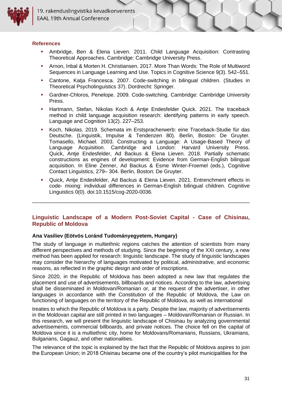#### **References**

- Ambridge, Ben & Elena Lieven. 2011. Child Language Acquisition: Contrasting Theoretical Approaches. Cambridge: Cambridge University Press.
- Arnon, Inbal & Morten H. Christiansen. 2017. More Than Words: The Role of Multiword Sequences in Language Learning and Use. Topics in Cognitive Science 9(3). 542–551.
- Cantone, Katja Francesca. 2007. Code-switching in bilingual children. (Studies in Theoretical Psycholinguistics 37). Dordrecht: Springer.
- Gardner-Chloros, Penelope. 2009. Code-switching. Cambridge: Cambridge University Press.
- Hartmann, Stefan, Nikolas Koch & Antje Endesfelder Quick. 2021. The traceback method in child language acquisition research: identifying patterns in early speech. Language and Cognition 13(2). 227–253.
- Koch, Nikolas. 2019. Schemata im Erstspracherwerb: eine Traceback-Studie für das Deutsche. (Linguistik, Impulse & Tendenzen 80). Berlin, Boston: De Gruyter. Tomasello, Michael. 2003. Constructing a Language: A Usage-Based Theory of Language Acquisition. Cambridge and London: Harvard University Press. Quick, Antje Endesfelder, Ad Backus & Elena Lieven. 2018. Partially schematic constructions as engines of development: Evidence from German-English bilingual acquisition. In Eline Zenner, Ad Backus & Esme Winter-Froemel (eds.), Cognitive Contact Linguistics, 279– 304. Berlin, Boston: De Gruyter.
- Quick, Antje Endesfelder, Ad Backus & Elena Lieven. 2021. Entrenchment effects in code- mixing: individual differences in German-English bilingual children. Cognitive Linguistics 0(0). doi:10.1515/cog-2020-0036.

#### <span id="page-30-0"></span>**Linguistic Landscape of a Modern Post-Soviet Capital - Case of Chisinau, Republic of Moldova**

\_\_\_\_\_\_\_\_\_\_\_\_\_\_\_\_\_\_\_\_\_\_\_\_\_\_\_\_\_\_\_\_\_\_\_\_\_\_\_\_\_\_\_\_\_\_\_\_\_\_\_\_\_\_\_\_\_\_\_\_\_\_\_\_\_\_\_\_\_\_\_\_\_\_\_

#### <span id="page-30-1"></span>**Ana Vasiliev (Eötvös Loránd Tudományegyetem, Hungary)**

The study of language in multiethnic regions catches the attention of scientists from many different perspectives and methods of studying. Since the beginning of the XXI century, a new method has been applied for research: linguistic landscape. The study of linguistic landscapes may consider the hierarchy of languages motivated by political, administrative, and economic reasons, as reflected in the graphic design and order of inscriptions.

Since 2020, in the Republic of Moldova has been adopted a new law that regulates the placement and use of advertisements, billboards and notices. According to the law, advertising shall be disseminated in Moldovan/Romanian or, at the request of the advertiser, in other languages in accordance with the Constitution of the Republic of Moldova, the Law on functioning of languages on the territory of the Republic of Moldova, as well as international

treaties to which the Republic of Moldova is a party. Despite the law, majority of advertisements in the Moldovan capital are still printed in two languages – Moldovan/Romanian or Russian. In this research, we will present the linguistic landscape of Chisinau by analyzing governmental advertisements, commercial billboards, and private notices. The choice fell on the capital of Moldova since it is a multiethnic city, home for Moldovans/Romanians, Russians, Ukrainians, Bulgarians, Gagauz, and other nationalities.

The relevance of the topic is explained by the fact that the Republic of Moldova aspires to join the European Union; in 2018 Chisinau became one of the country's pilot municipalities for the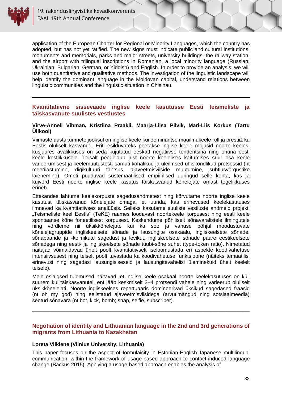

application of the European Charter for Regional or Minority Languages, which the country has adopted, but has not yet ratified. The new signs must indicate public and cultural institutions, monuments and memorials, parks and major streets, university buildings, the railway station, and the airport with trilingual inscriptions in Romanian, a local minority language (Russian, Ukrainian, Bulgarian, German, or Yiddish) and English. In order to provide an analysis, we will use both quantitative and qualitative methods. The investigation of the linguistic landscape will help identify the dominant language in the Moldovan capital, understand relations between linguistic communities and the linguistic situation in Chisinau.

#### <span id="page-31-1"></span><span id="page-31-0"></span>**Kvantitatiivne sissevaade inglise keele kasutusse Eesti teismeliste ja täiskasvanute suulistes vestlustes**

#### **Virve-Anneli Vihman, Kristiina Praakli, Maarja-Liisa Pilvik, Mari-Liis Korkus (Tartu Ülikool)**

Viimaste aastakümnete jooksul on inglise keele kui dominantse maailmakeele roll ja prestiiž ka Eestis oluliselt kasvanud. Eriti esilduvateks peetakse inglise keele mõjusid noorte keeles, kusjuures avalikkuses on seda kujutatud eeskätt negatiivse tendentsina ning ohuna eesti keele kestlikkusele. Teisalt peegeldub just noorte keelelises käitumises suur osa keele varieerumisest ja keelemuutustest, samuti kohalikud ja üleilmsed ühiskondlikud protsessid (nt meediastumine, digikultuuri tähtsus, ajaveetmisviiside muutumine, suhtlusvõrgustike laienemine). Ometi puuduvad süstemaatilised empiirilised uuringud selle kohta, kas ja kuivõrd Eesti noorte inglise keele kasutus täiskasvanud kõnelejate omast tegelikkuses erineb.

Ettekandes lähtume keelekorpuste sagedusandmetest ning kõrvutame noorte inglise keele kasutust täiskasvanud kõnelejate omaga, et uurida, kas erinevused keelekasutuses ilmnevad ka kvantitatiivses analüüsis. Selleks kasutame suuliste vestluste andmeid projekti "Teismeliste keel Eestis" (TeKE) raames loodavast noortekeele korpusest ning eesti keele spontaanse kõne foneetilisest korpusest. Keskendume põhiliselt sõnavaralistele ilmingutele ning võrdleme nii üksikkõnelejate kui ka soo ja vanuse põhjal moodustuvate kõnelejagruppide ingliskeelsete sõnade ja lausungite osakaalu, ingliskeelsete sõnade, sõnapaaride ja -kolmikute sagedust ja levikut, ingliskeelsete sõnade paare eestikeelsete sõnadega ning eesti- ja ingliskeelsete sõnade tüübi-sõne suhet (type-token ratio). Nimetatud näitajad võimaldavad ühelt poolt kvantitatiivselt iseloomustada eri aspekte koodivahetuse intensiivsusest ning teiselt poolt tuvastada ka koodivahetuse funktsioone (näiteks temaatilisi erinevusi ning sagedasi lausungisiseseid ja lausungitevahelisi üleminekuid ühelt keelelt teisele).

Meie esialgsed tulemused näitavad, et inglise keele osakaal noorte keelekasutuses on küll suurem kui täiskasvanutel, ent jääb keskmiselt 3–4 protsendi vahele ning varieerub oluliselt üksikkõnelejati. Noorte ingliskeelses repertuaaris domineerivad üksikud sagedased fraasid (nt oh my god) ning eelistatud ajaveetmisviisidega (arvutimängud ning sotsiaalmeedia) seotud sõnavara (nt bot, kick, bomb; snap, selfie, subscriber).

#### <span id="page-31-2"></span>**Negotiation of identity and Lithuanian language in the 2nd and 3rd generations of migrants from Lithuania to Kazakhstan**

\_\_\_\_\_\_\_\_\_\_\_\_\_\_\_\_\_\_\_\_\_\_\_\_\_\_\_\_\_\_\_\_\_\_\_\_\_\_\_\_\_\_\_\_\_\_\_\_\_\_\_\_\_\_\_\_\_\_\_\_\_\_\_\_\_\_\_\_\_\_\_\_\_\_\_

#### <span id="page-31-3"></span>**Loreta Vilkiene (Vilnius University, Lithuania)**

This paper focuses on the aspect of formulaicity in Estonian-English-Japanese multilingual communication, within the framework of usage-based approach to contact-induced language change (Backus 2015). Applying a usage-based approach enables the analysis of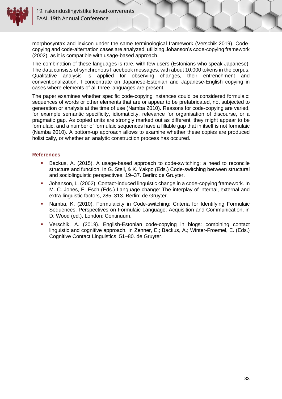

morphosyntax and lexicon under the same terminological framework (Verschik 2019). Codecopying and code-alternation cases are analyzed, utilizing Johanson's code-copying framework (2002), as it is compatible with usage-based approach.

The combination of these languages is rare, with few users (Estonians who speak Japanese). The data consists of synchronous Facebook messages, with about 10,000 tokens in the corpus. Qualitative analysis is applied for observing changes, their entrenchment and conventionalization. I concentrate on Japanese-Estonian and Japanese-English copying in cases where elements of all three languages are present.

The paper examines whether specific code-copying instances could be considered formulaic: sequences of words or other elements that are or appear to be prefabricated, not subjected to generation or analysis at the time of use (Namba 2010). Reasons for code-copying are varied, for example semantic specificity, idiomaticity, relevance for organisation of discourse, or a pragmatic gap. As copied units are strongly marked out as different, they might appear to be formulaic, and a number of formulaic sequences have a fillable gap that in itself is not formulaic (Namba 2010). A bottom-up approach allows to examine whether these copies are produced holistically, or whether an analytic construction process has occured.

#### **References**

- **EXECT** Backus, A. (2015). A usage-based approach to code-switching: a need to reconcile structure and function. In G. Stell, & K. Yakpo (Eds.) Code-switching between structural and sociolinguistic perspectives, 19–37. Berlin: de Gruyter.
- Johanson, L. (2002). Contact-induced linguistic change in a code-copying framework. In M. C. Jones, E. Esch (Eds.) Language change: The interplay of internal, external and extra-linguistic factors, 285–313. Berlin: de Gruyter.
- Namba, K. (2010). Formulaicity in Code-switching: Criteria for Identifying Formulaic Sequences. Perspectives on Formulaic Language: Acquisition and Communication, in D. Wood (ed.), London: Continuum.
- Verschik, A. (2019). English-Estonian code-copying in blogs: combining contact linguistic and cognitive approach. In Zenner, E.; Backus, A.; Winter-Froemel, E. (Eds.) Cognitive Contact Linguistics, 51–80. de Gruyter.